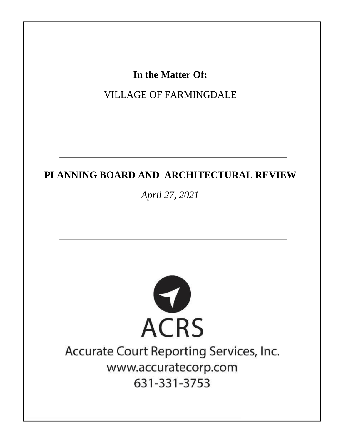In the Matter Of:

**VILLAGE OF FARMINGDALE** 

## PLANNING BOARD AND ARCHITECTURAL REVIEW

April 27, 2021



# Accurate Court Reporting Services, Inc. www.accuratecorp.com 631-331-3753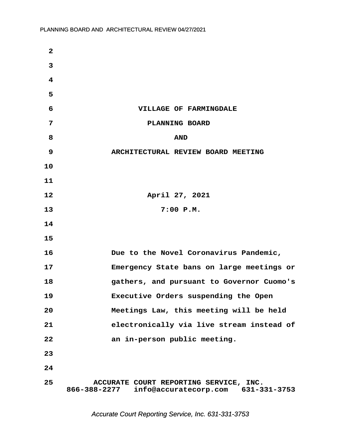| $\mathbf{2}$            |                                                                                              |
|-------------------------|----------------------------------------------------------------------------------------------|
| 3                       |                                                                                              |
| $\overline{\mathbf{4}}$ |                                                                                              |
| 5                       |                                                                                              |
| 6                       | VILLAGE OF FARMINGDALE                                                                       |
| 7                       | PLANNING BOARD                                                                               |
| 8                       | <b>AND</b>                                                                                   |
| 9                       | ARCHITECTURAL REVIEW BOARD MEETING                                                           |
| 10                      |                                                                                              |
| 11                      |                                                                                              |
| 12                      | April 27, 2021                                                                               |
| 13                      | $7:00$ $P.M.$                                                                                |
| 14                      |                                                                                              |
| 15                      |                                                                                              |
| 16                      | Due to the Novel Coronavirus Pandemic,                                                       |
| 17                      | Emergency State bans on large meetings or                                                    |
| 18                      | gathers, and pursuant to Governor Cuomo's                                                    |
| 19                      | Executive Orders suspending the Open                                                         |
| 20                      | Meetings Law, this meeting will be held                                                      |
| 21                      | electronically via live stream instead of                                                    |
| 22                      | an in-person public meeting.                                                                 |
| 23                      |                                                                                              |
| 24                      |                                                                                              |
| 25                      | ACCURATE COURT REPORTING SERVICE, INC.<br>866-388-2277<br>info@accuratecorp.com 631-331-3753 |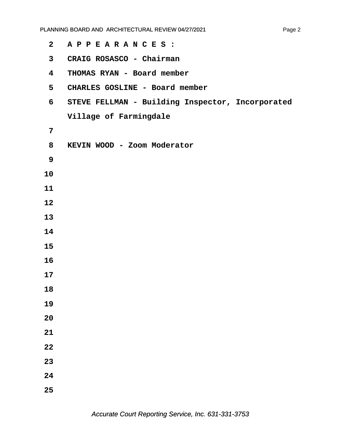| CRAIG ROSASCO - Chairman<br>$\mathbf{3}$<br>THOMAS RYAN - Board member<br>$\overline{\mathbf{4}}$<br>5<br>CHARLES GOSLINE - Board member<br>6<br>Village of Farmingdale<br>7<br>KEVIN WOOD - Zoom Moderator<br>8<br>9<br>10<br>11<br>12<br>13<br>14<br>15<br>16<br>17<br>18<br>19<br>20<br>21<br>22<br>23<br>24<br>25 | $\mathbf{2}$ | APPEARANCES :                                    |
|-----------------------------------------------------------------------------------------------------------------------------------------------------------------------------------------------------------------------------------------------------------------------------------------------------------------------|--------------|--------------------------------------------------|
|                                                                                                                                                                                                                                                                                                                       |              |                                                  |
|                                                                                                                                                                                                                                                                                                                       |              |                                                  |
|                                                                                                                                                                                                                                                                                                                       |              |                                                  |
|                                                                                                                                                                                                                                                                                                                       |              | STEVE FELLMAN - Building Inspector, Incorporated |
|                                                                                                                                                                                                                                                                                                                       |              |                                                  |
|                                                                                                                                                                                                                                                                                                                       |              |                                                  |
|                                                                                                                                                                                                                                                                                                                       |              |                                                  |
|                                                                                                                                                                                                                                                                                                                       |              |                                                  |
|                                                                                                                                                                                                                                                                                                                       |              |                                                  |
|                                                                                                                                                                                                                                                                                                                       |              |                                                  |
|                                                                                                                                                                                                                                                                                                                       |              |                                                  |
|                                                                                                                                                                                                                                                                                                                       |              |                                                  |
|                                                                                                                                                                                                                                                                                                                       |              |                                                  |
|                                                                                                                                                                                                                                                                                                                       |              |                                                  |
|                                                                                                                                                                                                                                                                                                                       |              |                                                  |
|                                                                                                                                                                                                                                                                                                                       |              |                                                  |
|                                                                                                                                                                                                                                                                                                                       |              |                                                  |
|                                                                                                                                                                                                                                                                                                                       |              |                                                  |
|                                                                                                                                                                                                                                                                                                                       |              |                                                  |
|                                                                                                                                                                                                                                                                                                                       |              |                                                  |
|                                                                                                                                                                                                                                                                                                                       |              |                                                  |
|                                                                                                                                                                                                                                                                                                                       |              |                                                  |
|                                                                                                                                                                                                                                                                                                                       |              |                                                  |
|                                                                                                                                                                                                                                                                                                                       |              |                                                  |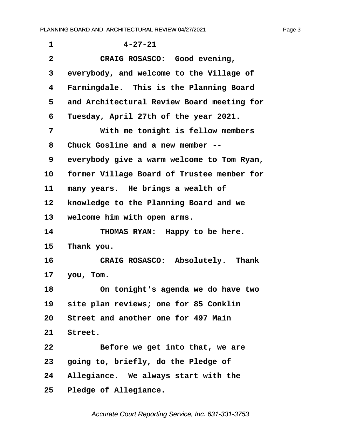<span id="page-3-0"></span>

| 1            | $4 - 27 - 21$                              |
|--------------|--------------------------------------------|
| $\mathbf{2}$ | CRAIG ROSASCO: Good evening,               |
| 3            | everybody, and welcome to the Village of   |
| 4            | Farmingdale. This is the Planning Board    |
| 5            | and Architectural Review Board meeting for |
| 6            | Tuesday, April 27th of the year 2021.      |
| 7            | With me tonight is fellow members          |
| 8            | Chuck Gosline and a new member --          |
| 9            | everybody give a warm welcome to Tom Ryan, |
| 10           | former Village Board of Trustee member for |
| 11           | many years. He brings a wealth of          |
| 12           | knowledge to the Planning Board and we     |
| 13           | welcome him with open arms.                |
| 14           | THOMAS RYAN: Happy to be here.             |
| 15           | Thank you.                                 |
| 16           | CRAIG ROSASCO: Absolutely. Thank           |
| 17           | you, Tom.                                  |
| 18           | On tonight's agenda we do have two         |
| 19           | site plan reviews; one for 85 Conklin      |
| 20           | Street and another one for 497 Main        |
| 21           | Street.                                    |
| 22           | Before we get into that, we are            |
| 23           | going to, briefly, do the Pledge of        |
| 24           | Allegiance. We always start with the       |
| $25\,$       | Pledge of Allegiance.                      |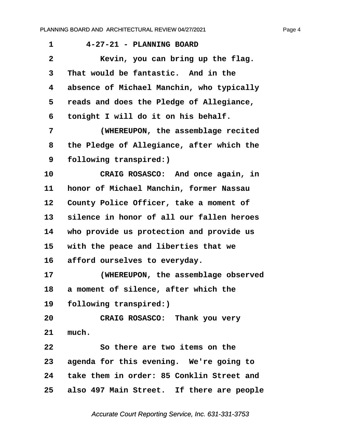<span id="page-4-0"></span>

| 1            | 4-27-21 - PLANNING BOARD                     |
|--------------|----------------------------------------------|
| $\mathbf{2}$ | Kevin, you can bring up the flag.            |
| 3            | That would be fantastic. And in the          |
| 4            | absence of Michael Manchin, who typically    |
| 5            | reads and does the Pledge of Allegiance,     |
| 6            | tonight I will do it on his behalf.          |
| 7            | (WHEREUPON, the assemblage recited           |
| 8            | the Pledge of Allegiance, after which the    |
| 9            | following transpired:)                       |
| 10           | CRAIG ROSASCO: And once again, in            |
| 11           | honor of Michael Manchin, former Nassau      |
| 12           | County Police Officer, take a moment of      |
| 13           | silence in honor of all our fallen heroes    |
| 14           | who provide us protection and provide us     |
| 15           | with the peace and liberties that we         |
| 16           | afford ourselves to everyday.                |
| 17           | (WHEREUPON, the assemblage observed          |
| 18           | a moment of silence, after which the         |
| 19           | following transpired:)                       |
| 20           | CRAIG ROSASCO: Thank you very                |
| 21           | much.                                        |
| 22           | So there are two items on the                |
| 23           | agenda for this evening. We're going to      |
|              | 24 take them in order: 85 Conklin Street and |
| 25           | also 497 Main Street. If there are people    |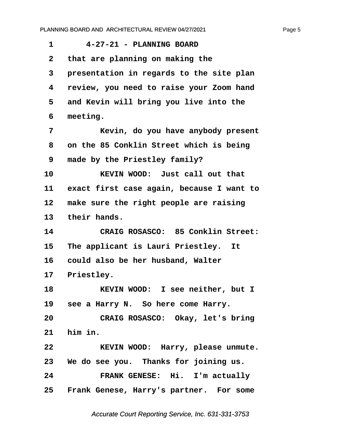<span id="page-5-0"></span>**·1· · · ·4-27-21 - PLANNING BOARD ·2· ·that are planning on making the ·3· ·presentation in regards to the site plan ·4· ·review, you need to raise your Zoom hand ·5· ·and Kevin will bring you live into the ·6· ·meeting. ·7· · · · · Kevin, do you have anybody present ·8· ·on the 85 Conklin Street which is being ·9· ·made by the Priestley family? 10· · · · · KEVIN WOOD:· Just call out that 11· ·exact first case again, because I want to** 12 make sure the right people are raising 13 their hands. **14· · · · · CRAIG ROSASCO:· 85 Conklin Street:** 15 The applicant is Lauri Priestley. It 16 could also be her husband, Walter 17 **Priestley. 18· · · · · KEVIN WOOD:· I see neither, but I** 19 see a Harry N. So here come Harry. **20· · · · · CRAIG ROSASCO:· Okay, let's bring 21· ·him in. 22· · · · · KEVIN WOOD:· Harry, please unmute. 23· ·We do see you.· Thanks for joining us. 24· · · · · FRANK GENESE:· Hi.· I'm actually** 25 Frank Genese, Harry's partner. For some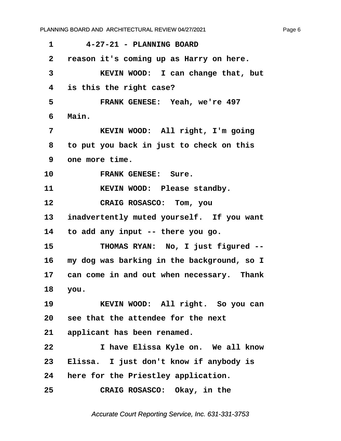<span id="page-6-0"></span>

| 1            | 4-27-21 - PLANNING BOARD                   |
|--------------|--------------------------------------------|
| $\mathbf{2}$ | reason it's coming up as Harry on here.    |
| 3            | KEVIN WOOD: I can change that, but         |
| 4            | is this the right case?                    |
| 5            | FRANK GENESE: Yeah, we're 497              |
| 6            | Main.                                      |
| 7            | KEVIN WOOD: All right, I'm going           |
| 8            | to put you back in just to check on this   |
| 9            | one more time.                             |
| 10           | FRANK GENESE: Sure.                        |
| 11           | KEVIN WOOD: Please standby.                |
| 12           | CRAIG ROSASCO: Tom, you                    |
| 13           | inadvertently muted yourself. If you want  |
| 14           | to add any input -- there you go.          |
| 15           | THOMAS RYAN: No, I just figured --         |
| 16           | my dog was barking in the background, so I |
| 17           | can come in and out when necessary. Thank  |
| 18           | you.                                       |
| 19           | KEVIN WOOD: All right. So you can          |
|              | 20 see that the attendee for the next      |
|              | 21 applicant has been renamed.             |
| 22           | I have Elissa Kyle on. We all know         |
| 23           | Elissa. I just don't know if anybody is    |
| 24           | here for the Priestley application.        |
| 25           | CRAIG ROSASCO: Okay, in the                |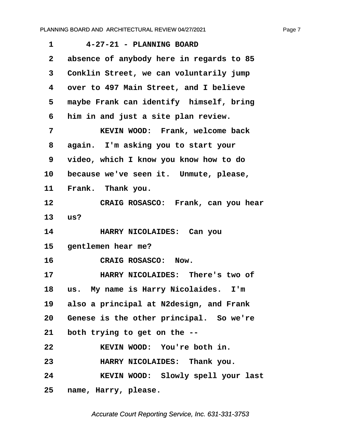<span id="page-7-0"></span>

| 1               | 4-27-21 - PLANNING BOARD                 |
|-----------------|------------------------------------------|
| $\mathbf{2}$    | absence of anybody here in regards to 85 |
| 3               | Conklin Street, we can voluntarily jump  |
| 4               | over to 497 Main Street, and I believe   |
| 5               | maybe Frank can identify himself, bring  |
| 6               | him in and just a site plan review.      |
| 7               | KEVIN WOOD: Frank, welcome back          |
| 8               | again. I'm asking you to start your      |
| 9               | video, which I know you know how to do   |
| 10              | because we've seen it. Unmute, please,   |
| 11              | Frank. Thank you.                        |
| 12              | CRAIG ROSASCO: Frank, can you hear       |
| 13              | us?                                      |
| 14              | HARRY NICOLAIDES: Can you                |
| 15 <sub>2</sub> | gentlemen hear me?                       |
| 16              | <b>CRAIG ROSASCO:</b><br>Now.            |
| 17              | HARRY NICOLAIDES: There's two of         |
| 18              | us. My name is Harry Nicolaides. I'm     |
| 19              | also a principal at N2design, and Frank  |
| 20              | Genese is the other principal. So we're  |
| 21              | both trying to get on the --             |
| 22              | KEVIN WOOD: You're both in.              |
| 23              | HARRY NICOLAIDES: Thank you.             |
| 24              | KEVIN WOOD: Slowly spell your last       |
| 25              | name, Harry, please.                     |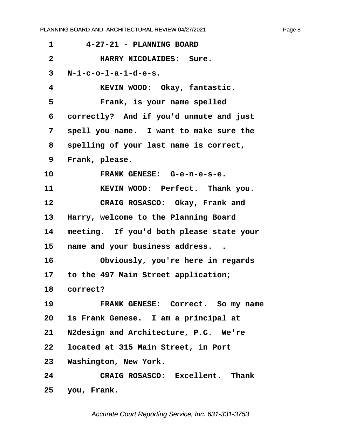<span id="page-8-0"></span>

| 1            | 4-27-21 - PLANNING BOARD                 |
|--------------|------------------------------------------|
| $\mathbf{2}$ | HARRY NICOLAIDES: Sure.                  |
| 3            | $N-i-c-o-1-a-i-d-e-s.$                   |
| 4            | KEVIN WOOD: Okay, fantastic.             |
| 5            | Frank, is your name spelled              |
| 6            | correctly? And if you'd unmute and just  |
| 7            | spell you name. I want to make sure the  |
| 8            | spelling of your last name is correct,   |
| 9            | Frank, please.                           |
| 10           | FRANK GENESE: G-e-n-e-s-e.               |
| 11           | KEVIN WOOD: Perfect. Thank you.          |
| 12           | CRAIG ROSASCO: Okay, Frank and           |
| 13           | Harry, welcome to the Planning Board     |
| 14           | meeting. If you'd both please state your |
| 15           | name and your business address           |
| 16           | Obviously, you're here in regards        |
| 17 -         | to the 497 Main Street application;      |
| 18           | correct?                                 |
| 19           | FRANK GENESE: Correct. So my name        |
|              | 20 is Frank Genese. I am a principal at  |
| 21           | N2design and Architecture, P.C. We're    |
|              | 22 located at 315 Main Street, in Port   |
|              | 23 Washington, New York.                 |
| 24           | CRAIG ROSASCO: Excellent. Thank          |
|              | 25 you, Frank.                           |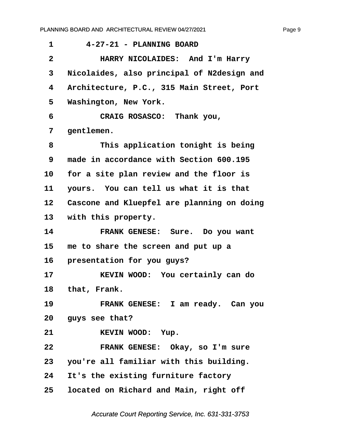<span id="page-9-0"></span>**·1· · · ·4-27-21 - PLANNING BOARD ·2· · · · · HARRY NICOLAIDES:· And I'm Harry ·3· ·Nicolaides, also principal of N2design and ·4· ·Architecture, P.C., 315 Main Street, Port** 5 Washington, New York. **·6· · · · · CRAIG ROSASCO:· Thank you, ·7· ·gentlemen. ·8· · · · · This application tonight is being ·9· ·made in accordance with Section 600.195** 10 for a site plan review and the floor is **11· ·yours.· You can tell us what it is that 12· ·Cascone and Kluepfel are planning on doing** 13 with this property. 14 **FRANK GENESE:** Sure. Do you want **15· ·me to share the screen and put up a** 16 **presentation for you guys? 17· · · · · KEVIN WOOD:· You certainly can do** 18 that, Frank. 19 **· · FRANK GENESE:** I am ready. Can you 20 guys see that? 21 **KEVIN WOOD:** Yup. **22· · · · · FRANK GENESE:· Okay, so I'm sure 23· ·you're all familiar with this building.** 24 It's the existing furniture factory **25· ·located on Richard and Main, right off**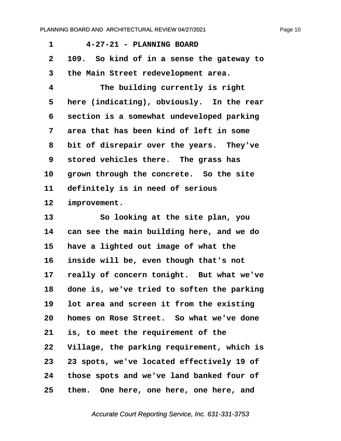<span id="page-10-0"></span>

| 4-27-21 - PLANNING BOARD                   |
|--------------------------------------------|
| 109. So kind of in a sense the gateway to  |
| the Main Street redevelopment area.        |
| The building currently is right            |
| here (indicating), obviously. In the rear  |
| section is a somewhat undeveloped parking  |
| area that has been kind of left in some    |
| bit of disrepair over the years. They've   |
| stored vehicles there. The grass has       |
| grown through the concrete. So the site    |
| definitely is in need of serious           |
| improvement.                               |
| So looking at the site plan, you           |
| can see the main building here, and we do  |
| have a lighted out image of what the       |
| inside will be, even though that's not     |
| really of concern tonight. But what we've  |
| done is, we've tried to soften the parking |
| lot area and screen it from the existing   |
| homes on Rose Street. So what we've done   |
| is, to meet the requirement of the         |
| Village, the parking requirement, which is |
| 23 spots, we've located effectively 19 of  |
| those spots and we've land banked four of  |
|                                            |

**25· ·them.· One here, one here, one here, and**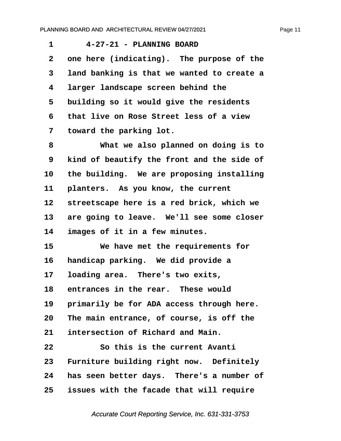<span id="page-11-0"></span>**·1· · · ·4-27-21 - PLANNING BOARD** 2 one here (indicating). The purpose of the **·3· ·land banking is that we wanted to create a ·4· ·larger landscape screen behind the ·5· ·building so it would give the residents ·6· ·that live on Rose Street less of a view ·7· ·toward the parking lot. ·8· · · · · What we also planned on doing is to ·9· ·kind of beautify the front and the side of** 10 the building. We are proposing installing 11 **planters.** As you know, the current 12 streetscape here is a red brick, which we 13 are going to leave. We'll see some closer 14 images of it in a few minutes. 15 **We have met the requirements for** 16 **handicap parking.** We did provide a **17· ·loading area.· There's two exits,** 18 entrances in the rear. These would 19 **primarily be for ADA access through here. 20· ·The main entrance, of course, is off the** 21 **intersection of Richard and Main. 22· · · · · So this is the current Avanti** 23 Furniture building right now. Definitely 24 has seen better days. There's a number of **25· ·issues with the facade that will require**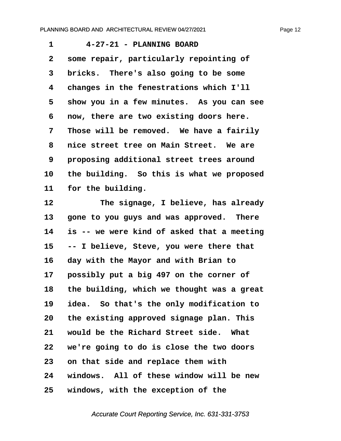<span id="page-12-0"></span>**·1· · · ·4-27-21 - PLANNING BOARD ·2· ·some repair, particularly repointing of ·3· ·bricks.· There's also going to be some ·4· ·changes in the fenestrations which I'll ·5· ·show you in a few minutes.· As you can see ·6· ·now, there are two existing doors here. ·7· ·Those will be removed.· We have a fairily ·8· ·nice street tree on Main Street.· We are ·9· ·proposing additional street trees around 10· ·the building.· So this is what we proposed** 11 for the building.

**12· · · · · The signage, I believe, has already** 13 **gone to you guys and was approved. There 14· ·is -- we were kind of asked that a meeting 15· ·-- I believe, Steve, you were there that 16· ·day with the Mayor and with Brian to** 17 **possibly put a big 497 on the corner of 18· ·the building, which we thought was a great 19· ·idea.· So that's the only modification to 20· ·the existing approved signage plan. This** 21 would be the Richard Street side. What **22· ·we're going to do is close the two doors 23· ·on that side and replace them with 24· ·windows.· All of these window will be new 25· ·windows, with the exception of the**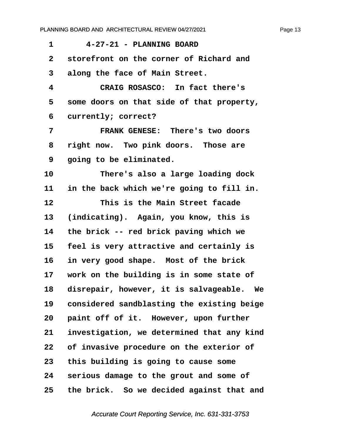<span id="page-13-0"></span>

| 1            | 4-27-21 - PLANNING BOARD                   |
|--------------|--------------------------------------------|
| $\mathbf{2}$ | storefront on the corner of Richard and    |
| 3            | along the face of Main Street.             |
| 4            | CRAIG ROSASCO: In fact there's             |
| 5            | some doors on that side of that property,  |
| 6            | currently; correct?                        |
| 7            | FRANK GENESE: There's two doors            |
| 8            | right now. Two pink doors. Those are       |
| 9            | going to be eliminated.                    |
| 10           | There's also a large loading dock          |
| 11           | in the back which we're going to fill in.  |
| 12           | This is the Main Street facade             |
| 13           | (indicating). Again, you know, this is     |
| 14           | the brick -- red brick paving which we     |
| 15           | feel is very attractive and certainly is   |
| 16           | in very good shape. Most of the brick      |
| $17 \,$      | work on the building is in some state of   |
| 18           | disrepair, however, it is salvageable. We  |
| 19           | considered sandblasting the existing beige |
| 20           | paint off of it. However, upon further     |
| 21           | investigation, we determined that any kind |
| 22           | of invasive procedure on the exterior of   |
| 23           | this building is going to cause some       |
| 24           | serious damage to the grout and some of    |
| 25           | the brick. So we decided against that and  |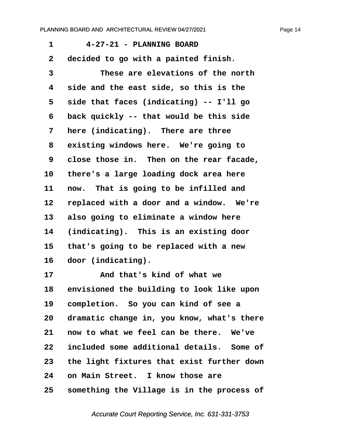<span id="page-14-0"></span>**·1· · · ·4-27-21 - PLANNING BOARD ·2· ·decided to go with a painted finish. ·3· · · · · These are elevations of the north ·4· ·side and the east side, so this is the ·5· ·side that faces (indicating) -- I'll go ·6· ·back quickly -- that would be this side ·7· ·here (indicating).· There are three** 8 existing windows here. We're going to **·9· ·close those in.· Then on the rear facade,** 10 there's a large loading dock area here 11 now. That is going to be infilled and 12 replaced with a door and a window. We're **13· ·also going to eliminate a window here 14· ·(indicating).· This is an existing door 15· ·that's going to be replaced with a new** 16 door (indicating). **17· · · · · And that's kind of what we** 18 envisioned the building to look like upon **19· ·completion.· So you can kind of see a** 20 dramatic change in, you know, what's there **21· ·now to what we feel can be there.· We've 22· ·included some additional details.· Some of 23· ·the light fixtures that exist further down 24· ·on Main Street.· I know those are 25· ·something the Village is in the process of**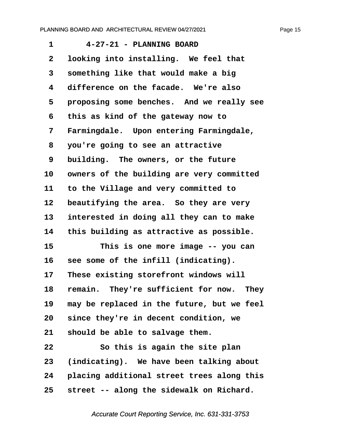<span id="page-15-0"></span>**·1· · · ·4-27-21 - PLANNING BOARD ·2· ·looking into installing.· We feel that ·3· ·something like that would make a big ·4· ·difference on the facade.· We're also** 5 **proposing some benches.** And we really see **·6· ·this as kind of the gateway now to ·7· ·Farmingdale.· Upon entering Farmingdale, ·8· ·you're going to see an attractive ·9· ·building.· The owners, or the future** 10 owners of the building are very committed **11· ·to the Village and very committed to** 12 beautifying the area. So they are very **13· ·interested in doing all they can to make 14· ·this building as attractive as possible. 15· · · · · This is one more image -- you can** 16 see some of the infill (indicating). 17 These existing storefront windows will 18 remain. They're sufficient for now. They **19· ·may be replaced in the future, but we feel 20· ·since they're in decent condition, we** 21 should be able to salvage them. **22· · · · · So this is again the site plan 23· ·(indicating).· We have been talking about 24· ·placing additional street trees along this 25· ·street -- along the sidewalk on Richard.**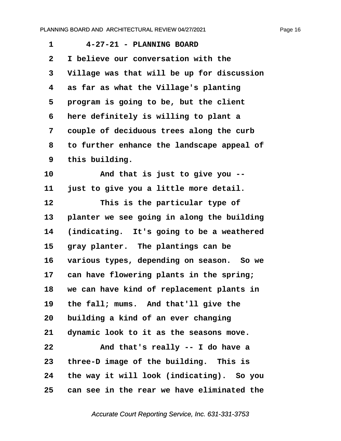<span id="page-16-0"></span>

| 1                       | 4-27-21 - PLANNING BOARD                   |
|-------------------------|--------------------------------------------|
| $\overline{\mathbf{2}}$ | I believe our conversation with the        |
| 3                       | Village was that will be up for discussion |
| 4                       | as far as what the Village's planting      |
| 5                       | program is going to be, but the client     |
| 6                       | here definitely is willing to plant a      |
| 7                       | couple of deciduous trees along the curb   |
| 8                       | to further enhance the landscape appeal of |
| 9                       | this building.                             |
| 10                      | And that is just to give you --            |
| 11                      | just to give you a little more detail.     |
| 12                      | This is the particular type of             |
| 13                      | planter we see going in along the building |
| 14                      | (indicating. It's going to be a weathered  |
| 15                      | gray planter. The plantings can be         |
| 16                      | various types, depending on season. So we  |
| 17                      | can have flowering plants in the spring;   |
| 18                      | we can have kind of replacement plants in  |
| 19                      | the fall; mums. And that'll give the       |
| 20                      | building a kind of an ever changing        |
| 21                      | dynamic look to it as the seasons move.    |
| 22                      | And that's really -- I do have a           |
| 23                      | three-D image of the building. This is     |
| 24                      | the way it will look (indicating). So you  |
| 25                      | can see in the rear we have eliminated the |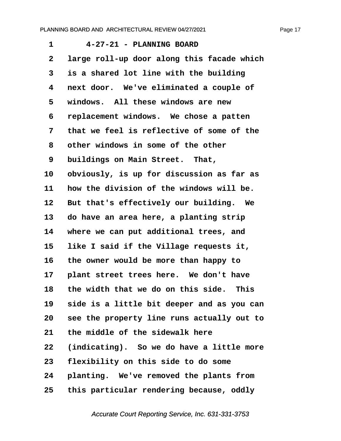<span id="page-17-0"></span>**·1· · · ·4-27-21 - PLANNING BOARD ·2· ·large roll-up door along this facade which ·3· ·is a shared lot line with the building ·4· ·next door.· We've eliminated a couple of ·5· ·windows.· All these windows are new ·6· ·replacement windows.· We chose a patten ·7· ·that we feel is reflective of some of the ·8· ·other windows in some of the other ·9· ·buildings on Main Street.· That, 10· ·obviously, is up for discussion as far as 11· ·how the division of the windows will be.** 12 But that's effectively our building. We 13 do have an area here, a planting strip **14· ·where we can put additional trees, and 15· ·like I said if the Village requests it, 16· ·the owner would be more than happy to** 17 **plant street trees here.** We don't have **18· ·the width that we do on this side.· This 19· ·side is a little bit deeper and as you can 20· ·see the property line runs actually out to** 21 the middle of the sidewalk here **22· ·(indicating).· So we do have a little more 23· ·flexibility on this side to do some** 24 **planting.** We've removed the plants from **25· ·this particular rendering because, oddly**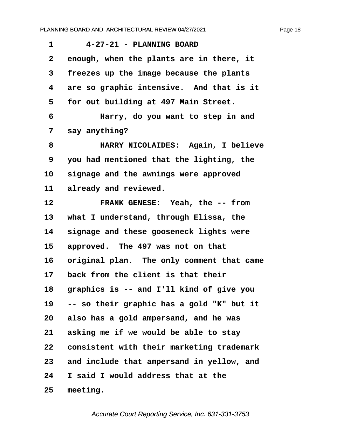<span id="page-18-0"></span>**·1· · · ·4-27-21 - PLANNING BOARD ·2· ·enough, when the plants are in there, it ·3· ·freezes up the image because the plants ·4· ·are so graphic intensive.· And that is it ·5· ·for out building at 497 Main Street. ·6· · · · · Harry, do you want to step in and ·7· ·say anything? ·8· · · · · HARRY NICOLAIDES:· Again, I believe ·9· ·you had mentioned that the lighting, the** 10 signage and the awnings were approved 11 already and reviewed. **12· · · · · FRANK GENESE:· Yeah, the -- from** 13 what I understand, through Elissa, the 14 signage and these gooseneck lights were 15 approved. The 497 was not on that 16 original plan. The only comment that came **17· ·back from the client is that their 18· ·graphics is -- and I'll kind of give you 19· ·-- so their graphic has a gold "K" but it 20· ·also has a gold ampersand, and he was** 21 asking me if we would be able to stay **22· ·consistent with their marketing trademark 23· ·and include that ampersand in yellow, and 24· ·I said I would address that at the 25· ·meeting.**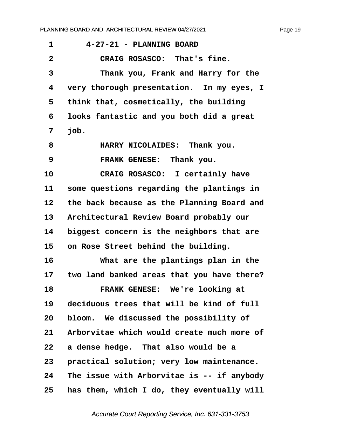<span id="page-19-0"></span>**·1· · · ·4-27-21 - PLANNING BOARD**

**·2· · · · · CRAIG ROSASCO:· That's fine. ·3· · · · · Thank you, Frank and Harry for the ·4· ·very thorough presentation.· In my eyes, I ·5· ·think that, cosmetically, the building ·6· ·looks fantastic and you both did a great ·7· ·job. ·8· · · · · HARRY NICOLAIDES:· Thank you. ·9· · · · · FRANK GENESE:· Thank you.** 10 **CRAIG ROSASCO:** I certainly have 11 some questions regarding the plantings in 12 the back because as the Planning Board and 13 Architectural Review Board probably our **14· ·biggest concern is the neighbors that are 15· ·on Rose Street behind the building. 16· · · · · What are the plantings plan in the 17· ·two land banked areas that you have there? 18· · · · · FRANK GENESE:· We're looking at 19· ·deciduous trees that will be kind of full 20· ·bloom.· We discussed the possibility of 21· ·Arborvitae which would create much more of 22· ·a dense hedge.· That also would be a** 23 **practical solution; very low maintenance. 24· ·The issue with Arborvitae is -- if anybody 25· ·has them, which I do, they eventually will**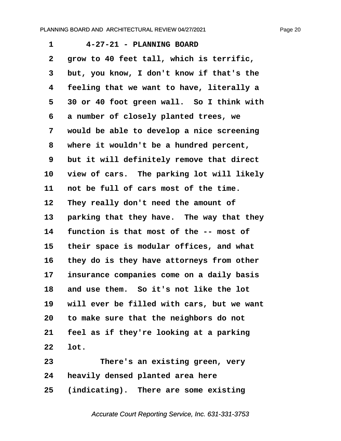<span id="page-20-0"></span>**·1· · · ·4-27-21 - PLANNING BOARD ·2· ·grow to 40 feet tall, which is terrific, ·3· ·but, you know, I don't know if that's the ·4· ·feeling that we want to have, literally a ·5· ·30 or 40 foot green wall.· So I think with ·6· ·a number of closely planted trees, we ·7· ·would be able to develop a nice screening ·8· ·where it wouldn't be a hundred percent, ·9· ·but it will definitely remove that direct** 10 view of cars. The parking lot will likely 11 not be full of cars most of the time. 12 They really don't need the amount of 13 **parking that they have. The way that they** 14 function is that most of the -- most of **15· ·their space is modular offices, and what 16· ·they do is they have attorneys from other 17· ·insurance companies come on a daily basis 18· ·and use them.· So it's not like the lot** 19 will ever be filled with cars, but we want **20· ·to make sure that the neighbors do not 21· ·feel as if they're looking at a parking 22· ·lot. 23· · · · · There's an existing green, very**

**24· ·heavily densed planted area here**

**25· ·(indicating).· There are some existing**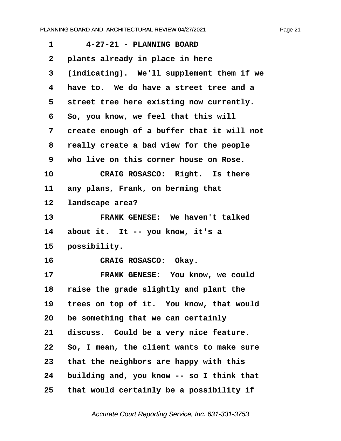<span id="page-21-0"></span>

| 1            | 4-27-21 - PLANNING BOARD                   |
|--------------|--------------------------------------------|
| $\mathbf{2}$ | plants already in place in here            |
| 3            | (indicating). We'll supplement them if we  |
| 4            | have to. We do have a street tree and a    |
| 5            | street tree here existing now currently.   |
| 6            | So, you know, we feel that this will       |
| 7            | create enough of a buffer that it will not |
| 8            | really create a bad view for the people    |
| 9            | who live on this corner house on Rose.     |
| 10           | CRAIG ROSASCO: Right. Is there             |
| 11           | any plans, Frank, on berming that          |
| 12           | landscape area?                            |
| 13           | FRANK GENESE: We haven't talked            |
| 14           | about it. It -- you know, it's a           |
| 15           | possibility.                               |
| 16           | CRAIG ROSASCO: Okay.                       |
| 17           | FRANK GENESE: You know, we could           |
| 18           | raise the grade slightly and plant the     |
| 19           | trees on top of it. You know, that would   |
| 20           | be something that we can certainly         |
| 21           | discuss. Could be a very nice feature.     |
| 22           | So, I mean, the client wants to make sure  |
| 23           | that the neighbors are happy with this     |
| 24           | building and, you know -- so I think that  |
| 25           | that would certainly be a possibility if   |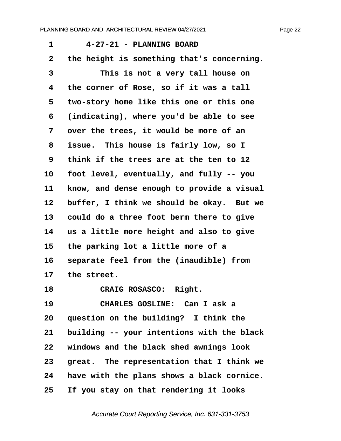<span id="page-22-0"></span>

| 1            | 4-27-21 - PLANNING BOARD                   |
|--------------|--------------------------------------------|
| $\mathbf{2}$ | the height is something that's concerning. |
| 3            | This is not a very tall house on           |
| 4            | the corner of Rose, so if it was a tall    |
| 5            | two-story home like this one or this one   |
| 6            | (indicating), where you'd be able to see   |
| 7            | over the trees, it would be more of an     |
| 8            | issue. This house is fairly low, so I      |
| 9            | think if the trees are at the ten to 12    |
| 10           | foot level, eventually, and fully -- you   |
| 11           | know, and dense enough to provide a visual |
| 12           | buffer, I think we should be okay. But we  |
| 13           | could do a three foot berm there to give   |
| 14           | us a little more height and also to give   |
| 15           | the parking lot a little more of a         |
| 16           | separate feel from the (inaudible) from    |
| 17           | the street.                                |
| 18           | CRAIG ROSASCO: Right.                      |
| 19           | CHARLES GOSLINE: Can I ask a               |
| 20           | question on the building? I think the      |
| 21           | building -- your intentions with the black |
| 22           | windows and the black shed awnings look    |
| 23           | great. The representation that I think we  |
| 24           | have with the plans shows a black cornice. |
| 25           | If you stay on that rendering it looks     |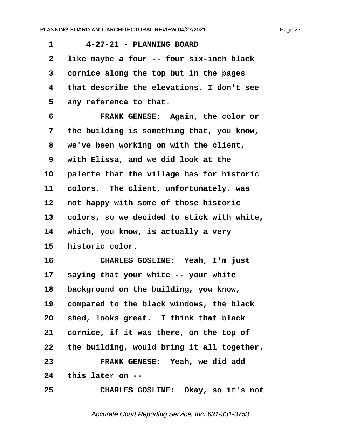<span id="page-23-0"></span>**·1· · · ·4-27-21 - PLANNING BOARD ·2· ·like maybe a four -- four six-inch black ·3· ·cornice along the top but in the pages ·4· ·that describe the elevations, I don't see** 5 any reference to that. **·6· · · · · FRANK GENESE:· Again, the color or ·7· ·the building is something that, you know, ·8· ·we've been working on with the client, ·9· ·with Elissa, and we did look at the** 10 **palette that the village has for historic** 11 colors. The client, unfortunately, was 12 **not happy with some of those historic 13· ·colors, so we decided to stick with white,** 14 which, you know, is actually a very 15 historic color. **16· · · · · CHARLES GOSLINE:· Yeah, I'm just** 17 saying that your white -- your white 18 background on the building, you know, **19· ·compared to the black windows, the black** 20 shed, looks great. I think that black **21· ·cornice, if it was there, on the top of 22· ·the building, would bring it all together. 23· · · · · FRANK GENESE:· Yeah, we did add 24· ·this later on -- 25· · · · · CHARLES GOSLINE:· Okay, so it's not**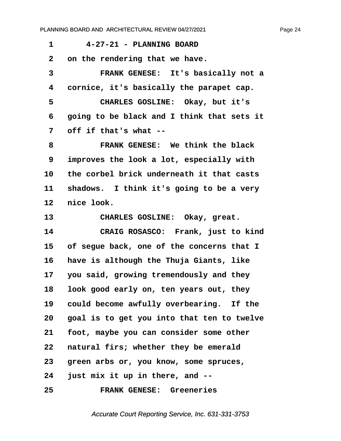<span id="page-24-0"></span>

| $\mathbf{1}$    | 4-27-21 - PLANNING BOARD                   |
|-----------------|--------------------------------------------|
| $\mathbf{2}$    | on the rendering that we have.             |
| $\mathbf{3}$    | FRANK GENESE: It's basically not a         |
| 4               | cornice, it's basically the parapet cap.   |
| 5               | CHARLES GOSLINE: Okay, but it's            |
| 6               | going to be black and I think that sets it |
| 7               | off if that's what --                      |
| 8               | FRANK GENESE: We think the black           |
| 9               | improves the look a lot, especially with   |
| 10 <sup>1</sup> | the corbel brick underneath it that casts  |
| 11              | shadows. I think it's going to be a very   |

12 nice look.

13 CHARLES GOSLINE: Okay, great. 14 **CRAIG ROSASCO:** Frank, just to kind **15· ·of segue back, one of the concerns that I 16· ·have is although the Thuja Giants, like** 17 you said, growing tremendously and they **18· ·look good early on, ten years out, they** 19 could become awfully overbearing. If the **20· ·goal is to get you into that ten to twelve 21· ·foot, maybe you can consider some other** 22 natural firs; whether they be emerald 23 **green arbs or, you know, some spruces, 24· ·just mix it up in there, and -- 25· · · · · FRANK GENESE:· Greeneries**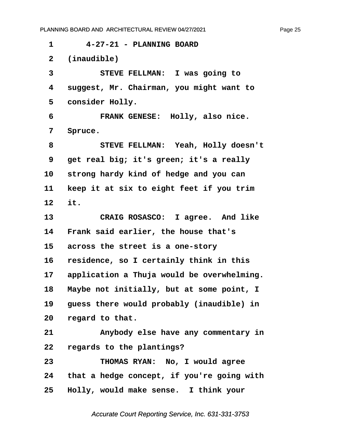<span id="page-25-0"></span>**·1· · · ·4-27-21 - PLANNING BOARD ·2· ·(inaudible) ·3· · · · · STEVE FELLMAN:· I was going to ·4· ·suggest, Mr. Chairman, you might want to** 5 **consider Holly. ·6· · · · · FRANK GENESE:· Holly, also nice. ·7· ·Spruce. ·8· · · · · STEVE FELLMAN:· Yeah, Holly doesn't ·9· ·get real big; it's green; it's a really** 10 strong hardy kind of hedge and you can 11 **Reep it at six to eight feet if you trim 12· ·it.** 13 **CRAIG ROSASCO:** I agree. And like 14 Frank said earlier, the house that's 15 **across the street is a one-story 16· ·residence, so I certainly think in this** 17 application a Thuja would be overwhelming. 18 Maybe not initially, but at some point, I 19 guess there would probably (inaudible) in **20· ·regard to that. 21· · · · · Anybody else have any commentary in 22· ·regards to the plantings? 23· · · · · THOMAS RYAN:· No, I would agree 24· ·that a hedge concept, if you're going with 25· ·Holly, would make sense.· I think your**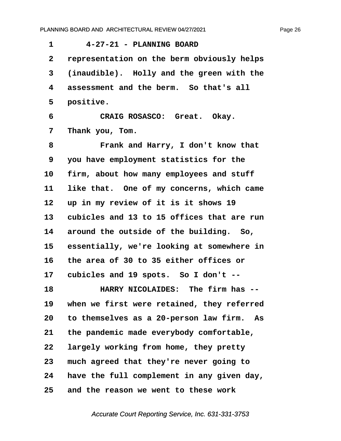<span id="page-26-0"></span>

| 1            | 4-27-21 - PLANNING BOARD                     |
|--------------|----------------------------------------------|
| $\mathbf{2}$ | representation on the berm obviously helps   |
| 3            | (inaudible). Holly and the green with the    |
| 4            | assessment and the berm. So that's all       |
| 5            | positive.                                    |
| 6            | CRAIG ROSASCO: Great. Okay.                  |
| 7            | Thank you, Tom.                              |
| 8            | Frank and Harry, I don't know that           |
| 9            | you have employment statistics for the       |
| 10           | firm, about how many employees and stuff     |
| 11           | like that. One of my concerns, which came    |
| 12           | up in my review of it is it shows 19         |
| 13           | cubicles and 13 to 15 offices that are run   |
| 14           | around the outside of the building. So,      |
| 15           | essentially, we're looking at somewhere in   |
| 16           | the area of 30 to 35 either offices or       |
| 17           | cubicles and 19 spots. So I don't --         |
| 18           | HARRY NICOLAIDES: The firm has               |
| 19           | when we first were retained, they referred   |
| 20           | to themselves as a 20-person law firm.<br>As |
| 21           | the pandemic made everybody comfortable,     |
| 22           | largely working from home, they pretty       |
| 23           | much agreed that they're never going to      |
| 24           | have the full complement in any given day,   |
| 25           | and the reason we went to these work         |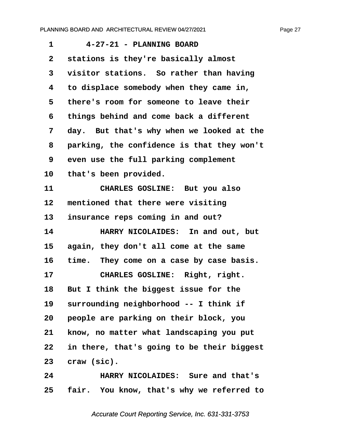<span id="page-27-0"></span>

| 1               | 4-27-21 - PLANNING BOARD                   |
|-----------------|--------------------------------------------|
| $\mathbf{2}$    | stations is they're basically almost       |
| 3               | visitor stations. So rather than having    |
| 4               | to displace somebody when they came in,    |
| 5               | there's room for someone to leave their    |
| 6               | things behind and come back a different    |
| 7               | day. But that's why when we looked at the  |
| 8               | parking, the confidence is that they won't |
| 9               | even use the full parking complement       |
| 10              | that's been provided.                      |
| 11              | CHARLES GOSLINE: But you also              |
| 12              | mentioned that there were visiting         |
| 13              | insurance reps coming in and out?          |
| 14              | HARRY NICOLAIDES: In and out, but          |
| 15              | again, they don't all come at the same     |
| 16              | time. They come on a case by case basis.   |
| 17              | CHARLES GOSLINE: Right, right.             |
| 18              | But I think the biggest issue for the      |
| 19              | surrounding neighborhood -- I think if     |
| 20              | people are parking on their block, you     |
| 21              | know, no matter what landscaping you put   |
| 22              | in there, that's going to be their biggest |
| 23              | craw (sic).                                |
| 24              | HARRY NICOLAIDES: Sure and that's          |
| 25 <sub>2</sub> | fair. You know, that's why we referred to  |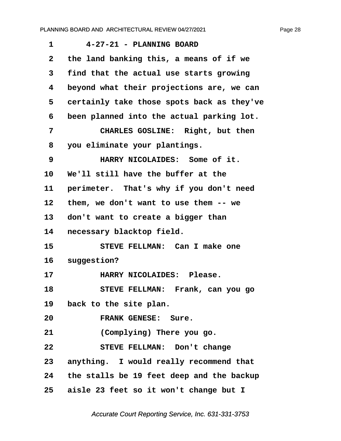<span id="page-28-0"></span>

| 1            | 4-27-21 - PLANNING BOARD                     |
|--------------|----------------------------------------------|
| $\mathbf{2}$ | the land banking this, a means of if we      |
| 3            | find that the actual use starts growing      |
| 4            | beyond what their projections are, we can    |
| 5            | certainly take those spots back as they've   |
| 6            | been planned into the actual parking lot.    |
| 7            | CHARLES GOSLINE: Right, but then             |
| 8            | you eliminate your plantings.                |
| 9            | HARRY NICOLAIDES: Some of it.                |
| 10           | We'll still have the buffer at the           |
| 11           | perimeter. That's why if you don't need      |
| 12           | them, we don't want to use them -- we        |
| 13           | don't want to create a bigger than           |
| 14           | necessary blacktop field.                    |
| 15           | STEVE FELLMAN: Can I make one                |
| 16           | suggestion?                                  |
| 17           | HARRY NICOLAIDES: Please.                    |
| 18           | STEVE FELLMAN: Frank, can you go             |
|              | 19 back to the site plan.                    |
| 20           | FRANK GENESE: Sure.                          |
| 21           | (Complying) There you go.                    |
| 22           | STEVE FELLMAN: Don't change                  |
|              | 23 anything. I would really recommend that   |
|              | 24 the stalls be 19 feet deep and the backup |
|              | 25 aisle 23 feet so it won't change but I    |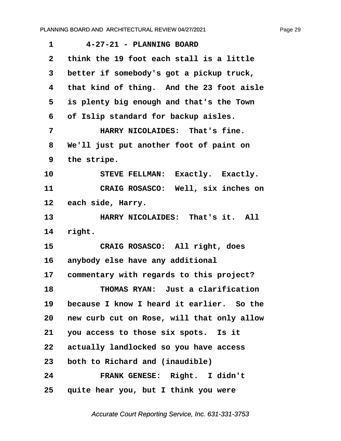<span id="page-29-0"></span>**·1· · · ·4-27-21 - PLANNING BOARD**

**·2· ·think the 19 foot each stall is a little ·3· ·better if somebody's got a pickup truck, ·4· ·that kind of thing.· And the 23 foot aisle ·5· ·is plenty big enough and that's the Town ·6· ·of Islip standard for backup aisles. ·7· · · · · HARRY NICOLAIDES:· That's fine. ·8· ·We'll just put another foot of paint on ·9· ·the stripe.** 10 STEVE FELLMAN: Exactly. Exactly. **11· · · · · CRAIG ROSASCO:· Well, six inches on** 12 each side, Harry. 13 **HARRY NICOLAIDES:** That's it. All 14 right. 15 **· CRAIG ROSASCO:** All right, does 16 anybody else have any additional 17 commentary with regards to this project? **18· · · · · THOMAS RYAN:· Just a clarification 19· ·because I know I heard it earlier.· So the 20· ·new curb cut on Rose, will that only allow 21· ·you access to those six spots.· Is it 22· ·actually landlocked so you have access 23· ·both to Richard and (inaudible) 24· · · · · FRANK GENESE:· Right.· I didn't**

**25· ·quite hear you, but I think you were**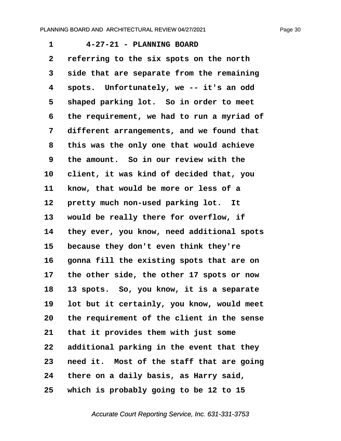<span id="page-30-0"></span>**·1· · · ·4-27-21 - PLANNING BOARD ·2· ·referring to the six spots on the north ·3· ·side that are separate from the remaining ·4· ·spots.· Unfortunately, we -- it's an odd** 5 shaped parking lot. So in order to meet **·6· ·the requirement, we had to run a myriad of ·7· ·different arrangements, and we found that ·8· ·this was the only one that would achieve ·9· ·the amount.· So in our review with the 10· ·client, it was kind of decided that, you** 11 know, that would be more or less of a 12 **pretty much non-used parking lot.** It 13 would be really there for overflow, if **14· ·they ever, you know, need additional spots** 15 because they don't even think they're 16 **gonna fill the existing spots that are on 17· ·the other side, the other 17 spots or now 18· ·13 spots.· So, you know, it is a separate 19· ·lot but it certainly, you know, would meet 20· ·the requirement of the client in the sense** 21 that it provides them with just some **22· ·additional parking in the event that they 23· ·need it.· Most of the staff that are going 24· ·there on a daily basis, as Harry said, 25· ·which is probably going to be 12 to 15**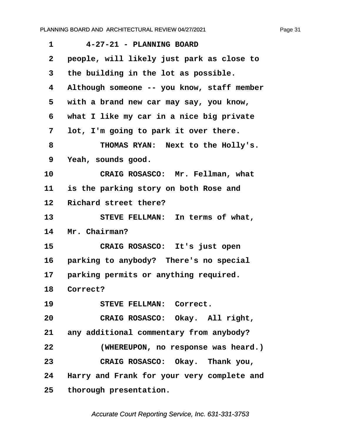<span id="page-31-0"></span>

| 1                 | 4-27-21 - PLANNING BOARD                   |
|-------------------|--------------------------------------------|
| $\mathbf{2}$      | people, will likely just park as close to  |
| 3                 | the building in the lot as possible.       |
| 4                 | Although someone -- you know, staff member |
| 5                 | with a brand new car may say, you know,    |
| 6                 | what I like my car in a nice big private   |
| 7                 | lot, I'm going to park it over there.      |
| 8                 | THOMAS RYAN: Next to the Holly's.          |
| 9                 | Yeah, sounds good.                         |
| 10                | CRAIG ROSASCO: Mr. Fellman, what           |
| 11                | is the parking story on both Rose and      |
| $12 \overline{ }$ | Richard street there?                      |
| 13                | STEVE FELLMAN: In terms of what,           |
| 14                | Mr. Chairman?                              |
| 15                | CRAIG ROSASCO: It's just open              |
| 16                | parking to anybody? There's no special     |
| 17 <sub>2</sub>   | parking permits or anything required.      |
| 18                | Correct?                                   |
| 19                | STEVE FELLMAN: Correct.                    |
| 20                | CRAIG ROSASCO: Okay. All right,            |
|                   | 21 any additional commentary from anybody? |
| 22                | (WHEREUPON, no response was heard.)        |
| 23                | CRAIG ROSASCO: Okay. Thank you,            |
| 24                | Harry and Frank for your very complete and |
| 25                | thorough presentation.                     |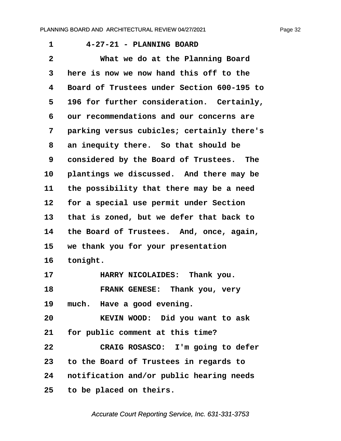<span id="page-32-0"></span>

| $\mathbf 1$  | 4-27-21 - PLANNING BOARD                   |
|--------------|--------------------------------------------|
| $\mathbf{2}$ | What we do at the Planning Board           |
| 3            | here is now we now hand this off to the    |
| 4            | Board of Trustees under Section 600-195 to |
| 5            | 196 for further consideration. Certainly,  |
| 6            | our recommendations and our concerns are   |
| 7            | parking versus cubicles; certainly there's |
| 8            | an inequity there. So that should be       |
| 9            | considered by the Board of Trustees. The   |
| 10           | plantings we discussed. And there may be   |
| 11           | the possibility that there may be a need   |
| 12           | for a special use permit under Section     |
| 13           | that is zoned, but we defer that back to   |
| 14           | the Board of Trustees. And, once, again,   |
| 15           | we thank you for your presentation         |
| 16           | tonight.                                   |
| 17           | HARRY NICOLAIDES: Thank you.               |
| 18           | FRANK GENESE: Thank you, very              |
| 19           | much. Have a good evening.                 |
| 20           | KEVIN WOOD: Did you want to ask            |
| 21           | for public comment at this time?           |
| 22           | CRAIG ROSASCO: I'm going to defer          |
| 23           | to the Board of Trustees in regards to     |
| 24           | notification and/or public hearing needs   |
| 25           | to be placed on theirs.                    |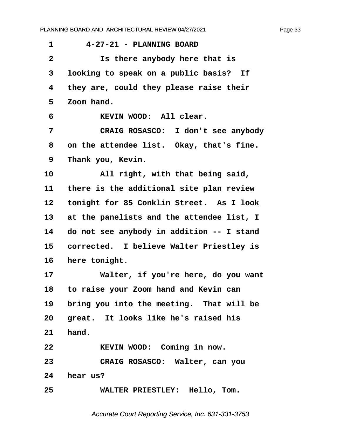<span id="page-33-0"></span>

| 4-27-21 - PLANNING BOARD                       |
|------------------------------------------------|
| Is there anybody here that is                  |
| looking to speak on a public basis? If         |
| they are, could they please raise their        |
| Zoom hand.                                     |
| KEVIN WOOD: All clear.                         |
| CRAIG ROSASCO: I don't see anybody             |
| on the attendee list. Okay, that's fine.       |
| Thank you, Kevin.                              |
| All right, with that being said,               |
| there is the additional site plan review       |
| tonight for 85 Conklin Street. As I look       |
| at the panelists and the attendee list, I      |
| do not see anybody in addition -- I stand      |
| corrected. I believe Walter Priestley is       |
| here tonight.                                  |
| Walter, if you're here, do you want            |
| to raise your Zoom hand and Kevin can          |
| bring you into the meeting. That will be<br>19 |
| 20 great. It looks like he's raised his        |
| hand.                                          |
| KEVIN WOOD: Coming in now.                     |
| CRAIG ROSASCO: Walter, can you                 |
| hear us?                                       |
| WALTER PRIESTLEY: Hello, Tom.                  |
|                                                |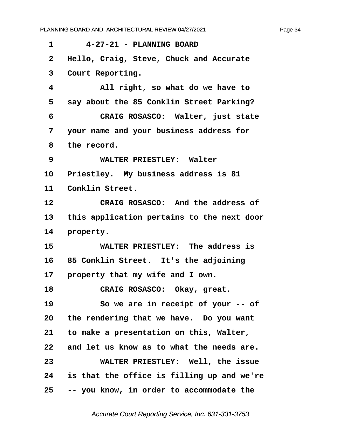<span id="page-34-0"></span>

| 1               | 4-27-21 - PLANNING BOARD                   |
|-----------------|--------------------------------------------|
| $\mathbf{2}$    | Hello, Craig, Steve, Chuck and Accurate    |
| 3               | Court Reporting.                           |
| 4               | All right, so what do we have to           |
| 5               | say about the 85 Conklin Street Parking?   |
| 6               | CRAIG ROSASCO: Walter, just state          |
| 7               | your name and your business address for    |
| 8               | the record.                                |
| 9               | WALTER PRIESTLEY: Walter                   |
| 10 <sub>1</sub> | Priestley. My business address is 81       |
| 11              | Conklin Street.                            |
| 12              | CRAIG ROSASCO: And the address of          |
| 13              | this application pertains to the next door |
| 14              | property.                                  |
| 15              | WALTER PRIESTLEY: The address is           |
| 16              | 85 Conklin Street. It's the adjoining      |
| 17              | property that my wife and I own.           |
| 18              | CRAIG ROSASCO: Okay, great.                |
| 19              | So we are in receipt of your -- of         |
| 20              | the rendering that we have. Do you want    |
| 21              | to make a presentation on this, Walter,    |
| 22              | and let us know as to what the needs are.  |
| 23              | WALTER PRIESTLEY: Well, the issue          |
| 24              | is that the office is filling up and we're |
| 25              | -- you know, in order to accommodate the   |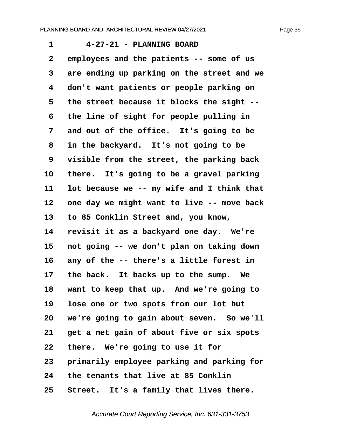<span id="page-35-0"></span>**·1· · · ·4-27-21 - PLANNING BOARD ·2· ·employees and the patients -- some of us ·3· ·are ending up parking on the street and we ·4· ·don't want patients or people parking on ·5· ·the street because it blocks the sight -- ·6· ·the line of sight for people pulling in** 7 and out of the office. It's going to be **·8· ·in the backyard.· It's not going to be ·9· ·visible from the street, the parking back** 10 there. It's going to be a gravel parking 11 lot because we -- my wife and I think that 12 one day we might want to live -- move back **13· ·to 85 Conklin Street and, you know,** 14 revisit it as a backyard one day. We're **15· ·not going -- we don't plan on taking down** 16 any of the -- there's a little forest in 17 the back. It backs up to the sump. We **18· ·want to keep that up.· And we're going to 19· ·lose one or two spots from our lot but** 20 we're going to gain about seven. So we'll **21· ·get a net gain of about five or six spots 22· ·there.· We're going to use it for 23· ·primarily employee parking and parking for 24· ·the tenants that live at 85 Conklin** 25 Street. It's a family that lives there.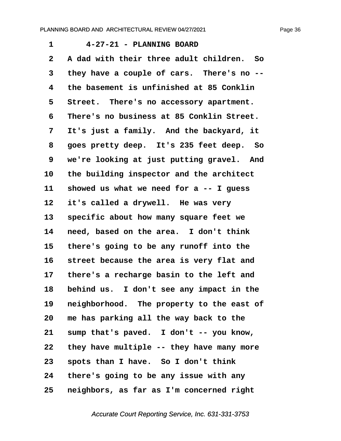<span id="page-36-0"></span>**·1· · · ·4-27-21 - PLANNING BOARD ·2· ·A dad with their three adult children.· So** 3 they have a couple of cars. There's no --**·4· ·the basement is unfinished at 85 Conklin** 5 Street. There's no accessory apartment. **·6· ·There's no business at 85 Conklin Street. ·7· ·It's just a family.· And the backyard, it ·8· ·goes pretty deep.· It's 235 feet deep.· So 9** we're looking at just putting gravel. And 10 the building inspector and the architect 11 showed us what we need for a -- I guess 12 it's called a drywell. He was very 13 **specific about how many square feet we** 14 **need, based on the area.** I don't think **15· ·there's going to be any runoff into the** 16 street because the area is very flat and **17· ·there's a recharge basin to the left and 18· ·behind us.· I don't see any impact in the 19· ·neighborhood.· The property to the east of 20· ·me has parking all the way back to the** 21 sump that's paved. I don't -- you know, **22· ·they have multiple -- they have many more** 23 **spots than I have.** So I don't think **24· ·there's going to be any issue with any 25· ·neighbors, as far as I'm concerned right**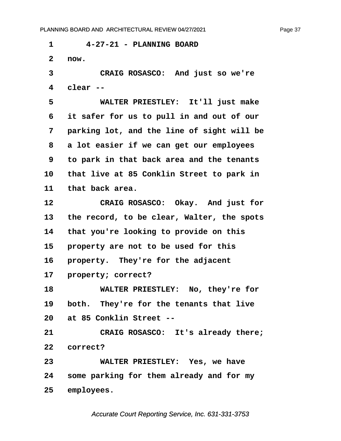<span id="page-37-0"></span>**·1· · · ·4-27-21 - PLANNING BOARD ·2· ·now. ·3· · · · · CRAIG ROSASCO:· And just so we're ·4· ·clear -- ·5· · · · · WALTER PRIESTLEY:· It'll just make ·6· ·it safer for us to pull in and out of our ·7· ·parking lot, and the line of sight will be ·8· ·a lot easier if we can get our employees ·9· ·to park in that back area and the tenants** 10 that live at 85 Conklin Street to park in 11 that back area. 12 **CRAIG ROSASCO:** Okay. And just for **13· ·the record, to be clear, Walter, the spots 14· ·that you're looking to provide on this** 15 **property are not to be used for this** 16 **property.** They're for the adjacent 17 **property; correct? 18· · · · · WALTER PRIESTLEY:· No, they're for** 19 both. They're for the tenants that live **20· ·at 85 Conklin Street -- 21· · · · · CRAIG ROSASCO:· It's already there;** 22 *correct?* **23· · · · · WALTER PRIESTLEY:· Yes, we have 24· ·some parking for them already and for my** 25 employees.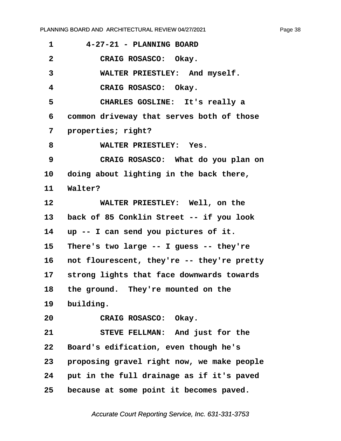<span id="page-38-0"></span>

| 1            | 4-27-21 - PLANNING BOARD                   |
|--------------|--------------------------------------------|
| $\mathbf{2}$ | CRAIG ROSASCO: Okay.                       |
| 3            | WALTER PRIESTLEY: And myself.              |
| 4            | CRAIG ROSASCO: Okay.                       |
| 5            | CHARLES GOSLINE: It's really a             |
| 6            | common driveway that serves both of those  |
| 7            | properties; right?                         |
| 8            | WALTER PRIESTLEY: Yes.                     |
| 9            | CRAIG ROSASCO: What do you plan on         |
| 10           | doing about lighting in the back there,    |
| 11           | Walter?                                    |
| 12           | WALTER PRIESTLEY: Well, on the             |
| 13           | back of 85 Conklin Street -- if you look   |
| 14           | up -- I can send you pictures of it.       |
| 15           | There's two large -- I guess -- they're    |
| 16           | not flourescent, they're -- they're pretty |
| 17           | strong lights that face downwards towards  |
| 18           | the ground. They're mounted on the         |
| 19           | building.                                  |
| 20           | CRAIG ROSASCO: Okay.                       |
| 21           | STEVE FELLMAN: And just for the            |
| 22           | Board's edification, even though he's      |
| 23           | proposing gravel right now, we make people |
| 24           | put in the full drainage as if it's paved  |
| 25           | because at some point it becomes paved.    |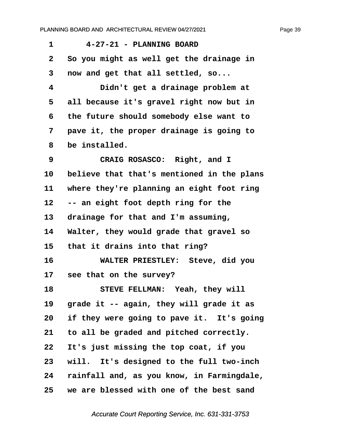<span id="page-39-0"></span>

| 1            | 4-27-21 - PLANNING BOARD                   |
|--------------|--------------------------------------------|
| $\mathbf{2}$ | So you might as well get the drainage in   |
| 3            | now and get that all settled, so           |
| 4            | Didn't get a drainage problem at           |
| 5            | all because it's gravel right now but in   |
| 6            | the future should somebody else want to    |
| 7            | pave it, the proper drainage is going to   |
| 8            | be installed.                              |
| 9            | CRAIG ROSASCO: Right, and I                |
| 10           | believe that that's mentioned in the plans |
| 11           | where they're planning an eight foot ring  |
| 12           | -- an eight foot depth ring for the        |
| 13           | drainage for that and I'm assuming,        |
| 14           | Walter, they would grade that gravel so    |
| 15           | that it drains into that ring?             |
| 16           | WALTER PRIESTLEY: Steve, did you           |
| 17           | see that on the survey?                    |
| 18           | STEVE FELLMAN: Yeah, they will             |
| 19           | grade it -- again, they will grade it as   |
| 20           | if they were going to pave it. It's going  |
| 21           | to all be graded and pitched correctly.    |
| 22           | It's just missing the top coat, if you     |
| 23           | will. It's designed to the full two-inch   |
| 24           | rainfall and, as you know, in Farmingdale, |
| 25           | we are blessed with one of the best sand   |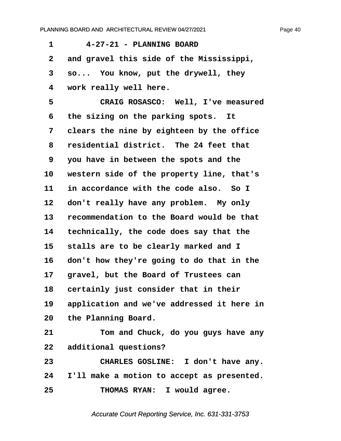<span id="page-40-0"></span>

| 1  | 4-27-21 - PLANNING BOARD                   |
|----|--------------------------------------------|
| 2  | and gravel this side of the Mississippi,   |
| 3  | so You know, put the drywell, they         |
| 4  | work really well here.                     |
| 5  | CRAIG ROSASCO: Well, I've measured         |
| 6  | the sizing on the parking spots. It        |
| 7  | clears the nine by eighteen by the office  |
| 8  | residential district. The 24 feet that     |
| 9  | you have in between the spots and the      |
| 10 | western side of the property line, that's  |
| 11 | in accordance with the code also. So I     |
| 12 | don't really have any problem. My only     |
| 13 | recommendation to the Board would be that  |
| 14 | technically, the code does say that the    |
| 15 | stalls are to be clearly marked and I      |
| 16 | don't how they're going to do that in the  |
| 17 | gravel, but the Board of Trustees can      |
| 18 | certainly just consider that in their      |
| 19 | application and we've addressed it here in |
|    | 20 the Planning Board.                     |
| 21 | Tom and Chuck, do you guys have any        |
| 22 | additional questions?                      |
| 23 | CHARLES GOSLINE: I don't have any.         |
| 24 | I'll make a motion to accept as presented. |
| 25 | THOMAS RYAN: I would agree.                |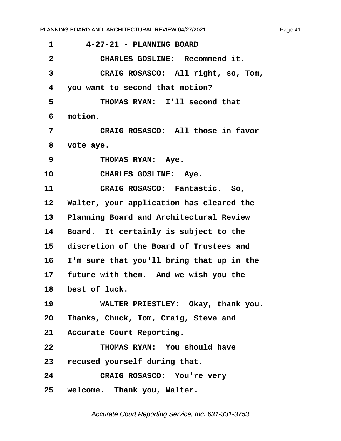<span id="page-41-0"></span>**·1· · · ·4-27-21 - PLANNING BOARD ·2· · · · · CHARLES GOSLINE:· Recommend it. ·3· · · · · CRAIG ROSASCO:· All right, so, Tom, ·4· ·you want to second that motion?** 5 **· · · · · THOMAS RYAN:** I'll second that **·6· ·motion. ·7· · · · · CRAIG ROSASCO:· All those in favor ·8· ·vote aye.** 9 THOMAS RYAN: Aye. 10 CHARLES GOSLINE: Aye. **11· · · · · CRAIG ROSASCO:· Fantastic.· So,** 12 Walter, your application has cleared the 13 Planning Board and Architectural Review 14 Board. It certainly is subject to the **15· ·discretion of the Board of Trustees and 16· ·I'm sure that you'll bring that up in the** 17 future with them. And we wish you the 18 **best of luck. 19· · · · · WALTER PRIESTLEY:· Okay, thank you. 20· ·Thanks, Chuck, Tom, Craig, Steve and** 21 Accurate Court Reporting. **22· · · · · THOMAS RYAN:· You should have** 23 recused yourself during that. **24· · · · · CRAIG ROSASCO:· You're very**

**25· ·welcome.· Thank you, Walter.**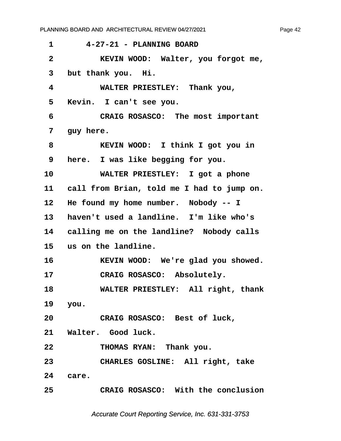<span id="page-42-0"></span>

| 1                       | 4-27-21 - PLANNING BOARD                   |
|-------------------------|--------------------------------------------|
| $\overline{\mathbf{2}}$ | KEVIN WOOD: Walter, you forgot me,         |
| 3                       | but thank you. Hi.                         |
| 4                       | WALTER PRIESTLEY: Thank you,               |
| 5                       | Kevin. I can't see you.                    |
| 6                       | CRAIG ROSASCO: The most important          |
| 7                       | guy here.                                  |
| 8                       | KEVIN WOOD: I think I got you in           |
| 9                       | here. I was like begging for you.          |
| 10                      | WALTER PRIESTLEY: I got a phone            |
| 11                      | call from Brian, told me I had to jump on. |
| 12                      | He found my home number. Nobody -- I       |
| 13                      | haven't used a landline. I'm like who's    |
| 14                      | calling me on the landline? Nobody calls   |
| 15                      | us on the landline.                        |
| 16                      | KEVIN WOOD: We're glad you showed.         |
| 17                      | CRAIG ROSASCO: Absolutely.                 |
| 18                      | WALTER PRIESTLEY: All right, thank         |
|                         | 19 you.                                    |
| 20                      | CRAIG ROSASCO: Best of luck,               |
|                         | 21 Walter. Good luck.                      |
| 22                      | THOMAS RYAN: Thank you.                    |
| 23                      | CHARLES GOSLINE: All right, take           |
|                         | 24 care.                                   |
| 25                      | CRAIG ROSASCO: With the conclusion         |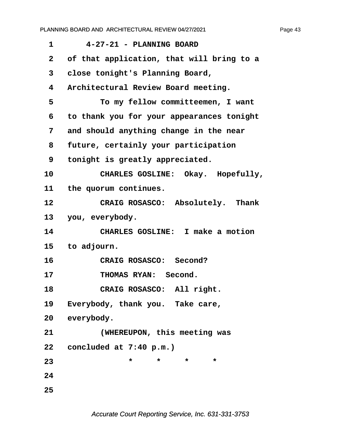| $\mathbf 1$  | 4-27-21 - PLANNING BOARD                  |
|--------------|-------------------------------------------|
| $\mathbf{2}$ | of that application, that will bring to a |
| 3            | close tonight's Planning Board,           |
| 4            | Architectural Review Board meeting.       |
| 5            | To my fellow committeemen, I want         |
| 6            | to thank you for your appearances tonight |
| 7            | and should anything change in the near    |
| 8            | future, certainly your participation      |
| 9            | tonight is greatly appreciated.           |
| 10           | CHARLES GOSLINE: Okay. Hopefully,         |
| 11           | the quorum continues.                     |
| 12           | CRAIG ROSASCO: Absolutely. Thank          |
| 13           | you, everybody.                           |
| 14           | CHARLES GOSLINE: I make a motion          |
| 15           | to adjourn.                               |
| 16           | CRAIG ROSASCO: Second?                    |
| 17           | THOMAS RYAN: Second.                      |
| 18           | CRAIG ROSASCO: All right.                 |
| 19           | Everybody, thank you. Take care,          |
| 20           | everybody.                                |
| 21           | (WHEREUPON, this meeting was              |
| 22           | concluded at $7:40 p.m.$                  |
| 23           | $\star$<br>*<br>$\star$<br>$\star$        |
| 24           |                                           |
| 25           |                                           |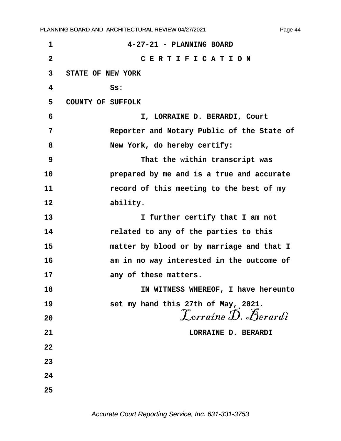**1 1 · · 4-27-21 · PLANNING BOARD ·2· · · · · · · · · · C E R T I F I C A T I O N ·3· ·STATE OF NEW YORK ·4· · · · · · ·Ss: ·5· ·COUNTY OF SUFFOLK ·6· · · · · · · · · · I, LORRAINE D. BERARDI, Court ·7· · · · · · ·Reporter and Notary Public of the State of ·8· · · · · · ·New York, do hereby certify: ·9· · · · · · · · · · That the within transcript was 10· · · · · · ·prepared by me and is a true and accurate** 11 **11** *record of this meeting to the best of my* 12 ability. **13· · · · · · · · · · I further certify that I am not 14· · · · · · ·related to any of the parties to this 15· · · · · · ·matter by blood or by marriage and that I 16· · · · · · ·am in no way interested in the outcome of** 17 **any of these matters. 18· · · · · · · · · · IN WITNESS WHEREOF, I have hereunto 19· · · · · · ·set my hand this 27th of May, 2021.** 20<br>20<br>*Lorraine D. Berardi* **21· · · · · · · · · · · · · · · ·LORRAINE D. BERARDI 22 23 24 25**

Page 44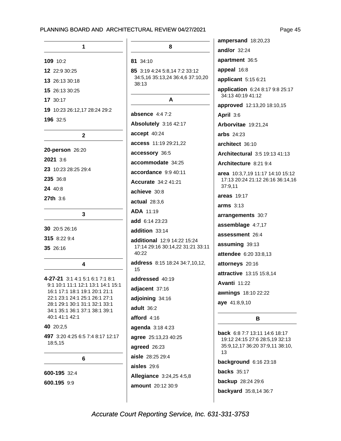#### RCHITECTURAL REVIEW 04/27/2021

| 1                            |
|------------------------------|
| 109 10:2                     |
| 12 22:9 30:25                |
| 13 26:13 30:18               |
| 15 26:13 30:25               |
| 17 30:17                     |
| 19 10:23 26:12,17 28:24 29:2 |
| 196 32:5                     |
| $\mathbf{2}$                 |
| 20-person 26:20              |
| 2021 3:6                     |
| 23 10:23 28:25 29:4          |
| 235 36:8                     |
| 24 40:8                      |
| $27th$ 3:6                   |
| 3                            |
| 30 20:5 26:16                |
|                              |

| 4-27-21 3:1 4:1 5:1 6:1 7:1 8:1   |
|-----------------------------------|
| 9:1 10:1 11:1 12:1 13:1 14:1 15:1 |
| 16:1 17:1 18:1 19:1 20:1 21:1     |
| 22:1 23:1 24:1 25:1 26:1 27:1     |
| 28:1 29:1 30:1 31:1 32:1 33:1     |
| 34:1 35:1 36:1 37:1 38:1 39:1     |
| 40:1 41:1 42:1                    |
|                                   |

 $\overline{\mathbf{A}}$ 

#### 40 20:2,5

35 26:16

497 3:20 4:25 6:5 7:4 8:17 12:17 18:5,15

6

### 600-195 32:4

600.195 9:9

8

#### 81 34:10

85 3:19 4:24 5:8,14 7:2 33:12 34:5,16 35:13,24 36:4,6 37:10,20 38:13

#### A

absence  $4:47:2$ Absolutely 3:16 42:17 accept 40:24 access 11:19 29:21,22 accessory 36:5 accommodate 34:25 accordance 9:9 40:11 **Accurate** 34:2 41:21 achieve 30:8  $actual$  28:3.6 ADA 11:19 add 6:14 23:23 addition 33:14 additional 12:9 14:22 15:24 17:14 29:16 30:14,22 31:21 33:11 40:22 address 8:15 18:24 34:7,10,12, 15 addressed 40:19 adjacent 37:16 adjoining 34:16 adult 36:2 afford 4:16 agenda 3:18 4:23 agree 25:13,23 40:25 agreed 26:23 aisle 28:25 29:4 aisles 29:6 Allegiance 3:24,25 4:5,8 amount 20:12 30:9

ampersand 18:20,23

and/or  $32:24$ 

apartment 36:5

appeal 16:8

applicant 5:15 6:21

application 6:24 8:17 9:8 25:17 34:13 40:19 41:12

approved 12:13,20 18:10,15

April 3:6

Arborvitae 19:21,24

arbs 24:23

architect 36:10

Architectural 3:5 19:13 41:13

Architecture 8:21 9:4

area 10:3,7,19 11:17 14:10 15:12 17:13 20:24 21:12 26:16 36:14,16 37:9,11

areas 19:17

 $arms: 3:13$ 

arrangements 30:7

assemblage 4:7,17

assessment 26:4

assuming 39:13

attendee 6:20 33:8,13

attorneys 20:16

attractive 13:15 15:8,14

**Avanti 11:22** 

awnings 18:10 22:22

aye 41:8,9,10

#### B.

back 6:8 7:7 13:11 14:6 18:17 19:12 24:15 27:6 28:5,19 32:13 35:9,12,17 36:20 37:9,11 38:10, 13 background 6:16 23:18 **backs** 35:17 backup 28:24 29:6 backyard 35:8,14 36:7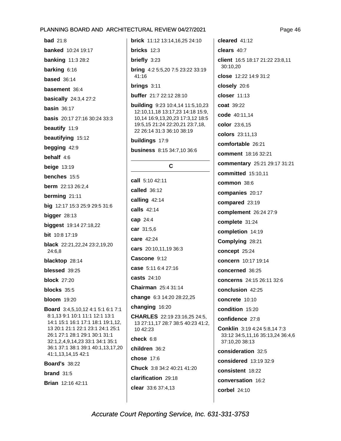**bad** 21:8 **banked** 10:24 19:17 **banking** 11:3 28:2 barking 6:16 **based** 36:14 basement 36:4 **basically** 24:3,4 27:2 basin  $36:17$ **basis** 20:17 27:16 30:24 33:3 beautify 11:9 beautifying 15:12 begging 42:9 behalf 4:6 beige  $13:19$ benches 15:5 berm 22:13 26:2,4 berming 21:11 big 12:17 15:3 25:9 29:5 31:6 bigger  $28:13$ biggest 19:14 27:18,22 **bit** 10:8 17:19 black 22:21,22,24 23:2,19,20 24:6,8 blacktop 28:14 blessed 39:25 block  $27:20$ blocks  $35:5$ **bloom** 19:20 Board 3:4,5,10,12 4:1 5:1 6:1 7:1 8:1,13 9:1 10:1 11:1 12:1 13:1 14:1 15:1 16:1 17:1 18:1 19:1,12, 13 20:1 21:1 22:1 23:1 24:1 25:1 26:1 27:1 28:1 29:1 30:1 31:1 32:1,2,4,9,14,23 33:1 34:1 35:1 36:1 37:1 38:1 39:1 40:1,13,17,20 41:1,13,14,15 42:1 **Board's 38:22** brand  $31:5$ Brian 12:16 42:11

**brick** 11:12 13:14.16.25 24:10 bricks  $12:3$ briefly 3:23 bring 4:2 5:5,20 7:5 23:22 33:19 41:16 brings  $3:11$ buffer 21:7 22:12 28:10 **building** 9:23 10:4,14 11:5,10,23 12:10,11,18 13:17,23 14:18 15:9, 10,14 16:9,13,20,23 17:3,12 18:5 19:5, 15 21:24 22:20, 21 23:7, 18, 22 26:14 31:3 36:10 38:19 buildings 17:9 **business** 8:15 34:7,10 36:6 C call 5:10 42:11 called 36:12 calling 42:14 calls 42:14 cap 24:4 car 31:5,6 care 42:24 cars 20:10,11,19 36:3

Cascone 9:12 case 5:11 6:4 27:16

casts 24:10

Chairman 25:4 31:14

change 6:3 14:20 28:22,25

changing 16:20

**CHARLES** 22:19 23:16,25 24:5, 13 27:11,17 28:7 38:5 40:23 41:2, 10 42:23 check 6:8

children 36:2 chose 17:6 Chuck 3:8 34:2 40:21 41:20 clarification 29:18 clear 33:6 37:4,13

cleared  $41:12$ clears 40:7 client 16:5 18:17 21:22 23:8,11 30:10,20 close 12:22 14:9 31:2 closely 20:6 closer  $11:13$ coat 39:22 code 40:11.14 color 23:6,15 colors 23:11,13 comfortable 26:21 comment 18:16 32:21 commentary 25:21 29:17 31:21 **committed** 15:10.11 common 38:6 companies 20:17 compared 23:19 complement 26:24 27:9 complete 31:24 completion 14:19 Complying 28:21 concept 25:24 concern 10:17 19:14 concerned 36:25 concerns 24:15 26:11 32:6 conclusion 42:25 concrete 10:10 condition 15:20 confidence 27:8 Conklin 3:19 4:24 5:8.14 7:3 33:12 34:5,11,16 35:13,24 36:4,6 37:10.20 38:13 consideration 32:5 considered 13:19 32:9 consistent 18:22 conversation 16:2 corbel 24:10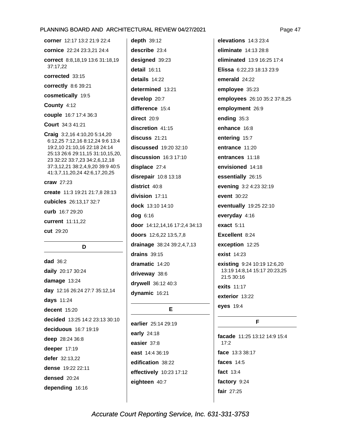corner 12:17 13:2 21:9 22:4 cornice 22:24 23:3.21 24:4 correct 8:8,18,19 13:6 31:18,19 37:17,22 corrected 33:15 correctly 8:6 39:21 cosmetically 19:5 County 4:12 couple 16:7 17:4 36:3 Court 34:3 41:21 Craig 3:2,16 4:10,20 5:14,20 6:12,25 7:12,16 8:12,24 9:6 13:4 19:2,10 21:10,16 22:18 24:14 25:13 26:6 29:11,15 31:10,15,20, 23 32:22 33:7,23 34:2,6,12,18 37:3,12,21 38:2,4,9,20 39:9 40:5 41:3,7,11,20,24 42:6,17,20,25  $craw$  27:23 create 11:3 19:21 21:7,8 28:13 cubicles 26:13,17 32:7 curb 16:7 29:20 current 11:11,22 cut 29:20

#### D

 $dad 36:2$ daily 20:17 30:24 damage 13:24 day 12:16 26:24 27:7 35:12,14 days 11:24 decent 15:20 decided 13:25 14:2 23:13 30:10 deciduous 16:7 19:19 deep 28:24 36:8 deeper 17:19 defer 32:13,22 dense 19:22 22:11 densed 20:24 depending 16:16

depth  $39:12$ describe  $23:4$ designed 39:23 detail 16:11 details 14:22 determined 13:21 develop 20:7 difference 15:4 direct 20:9 discretion 41:15 discuss 21:21 discussed 19:20 32:10  $disclusion$  16:3 17:10 displace 27:4 disrepair 10:8 13:18 district 40:8 division 17:11 dock 13:10 14:10 dog 6:16 door 14:12,14,16 17:2,4 34:13 doors 12:6,22 13:5,7,8 drainage 38:24 39:2,4,7,13 drains  $39:15$ dramatic 14:20 driveway 38:6 drywell 36:12 40:3 dynamic 16:21

#### E

earlier 25:14 29:19 early 24:18 easier 37:8 east 14:4 36:19 edification 38:22 effectively 10:23 17:12 eighteen 40:7

elevations 14:3 23:4 eliminate 14:13 28:8 eliminated 13:9 16:25 17:4 Elissa 6:22,23 18:13 23:9 emerald 24:22 employee 35:23 employees 26:10 35:2 37:8,25 employment 26:9 ending 35:3 enhance 16:8 entering 15:7 entrance 11:20 entrances 11:18 envisioned 14:18 essentially 26:15 evening 3:2 4:23 32:19 event 30:22 eventually 19:25 22:10 everyday 4:16 exact 5:11 Excellent 8:24 exception 12:25 exist 14:23 existing 9:24 10:19 12:6,20 13:19 14:8.14 15:17 20:23,25 21:5 30:16 exits 11:17 exterior 13:22 eyes 19:4

#### F.

facade 11:25 13:12 14:9 15:4  $17:2$ face 13:3 38:17 faces 14:5 **fact** 13:4 factory 9:24 fair 27:25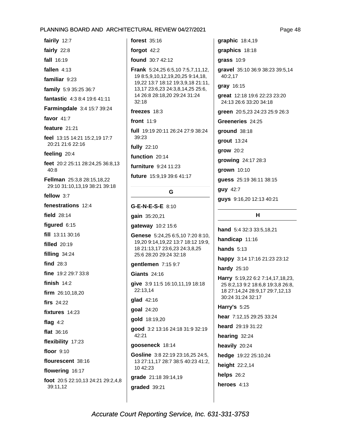fairily 12:7

fairly  $22:8$ 

fall 16:19

fallen  $4:13$ 

familiar 9:23

family 5:9 35:25 36:7

- fantastic 4:3 8:4 19:6 41:11
- **Farmingdale** 3:4 15:7 39:24

favor  $41:7$ 

feature  $21:21$ 

feel 13:15 14:21 15:2,19 17:7 20:21 21:6 22:16

feeling 20:4

feet 20:2 25:11 28:24,25 36:8,13 40:8

Fellman 25:3,8 28:15,18,22 29:10 31:10,13,19 38:21 39:18

fellow 3:7

fenestrations 12:4 **field** 28:14 figured  $6:15$ fill 13:11 30:16 **filled** 20:19 filling  $34:24$ find  $28:3$ fine 19:2 29:7 33:8 finish  $14:2$ firm 26:10,18,20 firs  $24:22$ fixtures 14:23 flag  $4:2$ flat 36:16 flexibility 17:23 floor  $9:10$ flourescent 38:16 flowering 16:17 foot 20:5 22:10,13 24:21 29:2,4,8 39:11,12

forest 35:16 forgot  $42:2$ found 30:7 42:12 Frank 5:24,25 6:5,10 7:5,7,11,12, 19 8:5, 9, 10, 12, 19, 20, 25 9: 14, 18, 19,22 13:7 18:12 19:3,9,18 21:11, 13,17 23:6,23 24:3,8,14,25 25:6, 14 26:8 28:18,20 29:24 31:24  $32:18$ freezes  $18:3$ front 11:9 full 19:19 20:11 26:24 27:9 38:24 39:23 fully 22:10 function 20:14 furniture 9:24 11:23 future 15:9,19 39:6 41:17 G.

#### G-E-N-E-S-E 8:10

gain 35:20,21

gateway 10:2 15:6

Genese 5:24,25 6:5,10 7:20 8:10, 19,20 9:14,19,22 13:7 18:12 19:9, 18 21:13,17 23:6,23 24:3,8,25 25:6 28:20 29:24 32:18

gentlemen 7:15 9:7

**Giants 24:16** 

give 3:9 11:5 16:10,11,19 18:18 22:13,14

glad 42:16

goal 24:20

qold 18:19,20

good 3:2 13:16 24:18 31:9 32:19 42:21

gooseneck 18:14

Gosline 3:8 22:19 23:16,25 24:5, 13 27:11,17 28:7 38:5 40:23 41:2, 10 42:23

grade 21:18 39:14,19

araded 39:21

graphic 18:4,19 graphics 18:18  $qrass$  10:9 gravel 35:10 36:9 38:23 39:5,14 40:2,17 gray 16:15 great 12:18 19:6 22:23 23:20 24:13 26:6 33:20 34:18 areen 20:5.23 24:23 25:9 26:3 Greeneries 24:25 ground 38:18 grout 13:24 grow 20:2 growing 24:17 28:3 grown 10:10 guess 25:19 36:11 38:15 guy 42:7 guys 9:16,20 12:13 40:21

#### н

hand 5:4 32:3 33:5.18.21

handicap 11:16

hands  $5:13$ 

happy 3:14 17:16 21:23 23:12

hardy  $25:10$ 

Harry 5:19,22 6:2 7:14,17,18,23, 25 8:2,13 9:2 18:6,8 19:3,8 26:8, 18 27:14,24 28:9,17 29:7,12,13 30:24 31:24 32:17

**Harry's 5:25** 

hear 7:12,15 29:25 33:24

heard 29:19 31:22

hearing 32:24

heavily 20:24

hedge 19:22 25:10,24

height 22:2,14

helps  $26:2$ 

heroes  $4:13$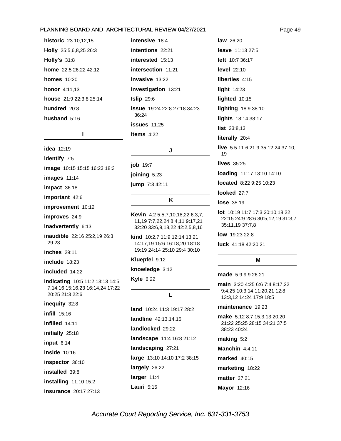historic 23:10.12.15 Holly 25:5,6,8,25 26:3 **Holly's 31:8** home 22:5 26:22 42:12 **homes** 10:20 **honor** 4:11,13 house 21:9 22:3,8 25:14 hundred 20:8 husband  $5:16$ 

#### $\mathbf{I}$

**idea** 12:19 identify 7:5 image 10:15 15:15 16:23 18:3 images 11:14 impact 36:18 important 42:6 improvement 10:12 improves 24:9 inadvertently 6:13 inaudible 22:16 25:2,19 26:3 29:23 **inches** 29:11 include  $18:23$ included 14:22 indicating 10:5 11:2 13:13 14:5, 7,14,16 15:16,23 16:14,24 17:22 20:25 21:3 22:6 inequity 32:8 infill 15:16 infilled 14:11 initially 25:18 input  $6:14$ **inside** 10:16 inspector 36:10 installed 39:8 **installing** 11:10 15:2 insurance 20:17 27:13

intensive 18:4 intentions 22:21 interested 15:13 intersection 11:21 invasive 13:22 investigation 13:21  $Islip 29:6$ **issue** 19:24 22:8 27:18 34:23  $36:24$  $issues$  11:25 items 4:22

J

job 19:7

joining 5:23

jump 7:3 42:11

K

Kevin 4:2 5:5,7,10,18,22 6:3,7, 11, 19 7: 7, 22, 24 8: 4, 11 9: 17, 21 32:20 33:6,9,18,22 42:2,5,8,16

kind 10:2.7 11:9 12:14 13:21 14:17.19 15:6 16:18.20 18:18 19:19 24:14 25:10 29:4 30:10

Kluepfel 9:12

knowledge 3:12

**Kyle 6:22** 

L

land 10:24 11:3 19:17 28:2 landline 42:13,14,15 landlocked 29:22 landscape 11:4 16:8 21:12 landscaping 27:21 large 13:10 14:10 17:2 38:15 largely 26:22 larger 11:4 Lauri  $5:15$ 

**law** 26:20 leave 11:13 27:5 left 10:7 36:17 **level** 22:10 liberties 4:15 light 14:23 lighted 10:15 lighting 18:9 38:10 lights 18:14 38:17 list 33:8,13 literally 20:4 live 5:5 11:6 21:9 35:12,24 37:10, 19 lives  $35:25$ 

loading 11:17 13:10 14:10

located 8:22 9:25 10:23

looked 27:7

lose 35:19

**lot** 10:19 11:7 17:3 20:10,18,22 22:15 24:9 28:6 30:5,12,19 31:3,7 35:11,19 37:7,8

low 19:23 22:8

luck 41:18 42:20,21

#### M

made 5:9 9:9 26:21

main 3:20 4:25 6:6 7:4 8:17,22 9:4,25 10:3,14 11:20,21 12:8 13:3,12 14:24 17:9 18:5

maintenance 19:23

make 5:12 8:7 15:3,13 20:20 21:22 25:25 28:15 34:21 37:5 38:23 40:24

making  $5:2$ 

Manchin 4:4,11

marked 40:15

marketing 18:22

**matter** 27:21

**Mayor 12:16** 

Page 49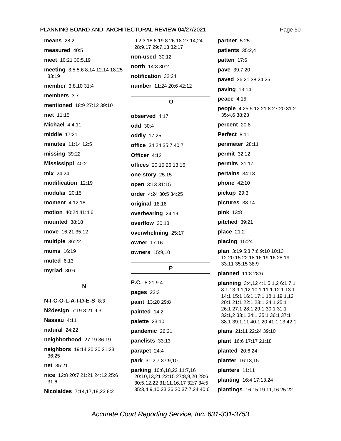means  $28:2$ measured 40:5 meet 10:21 30:5,19 meeting 3:5 5:6 8:14 12:14 18:25 33:19 member 3:8,10 31:4 members  $3:7$ mentioned 18:9 27:12 39:10 met 11:15 Michael 4:4.11 middle 17:21 minutes 11:14 12:5  $missing$  39:22 Mississippi 40:2 mix 24:24 modification 12:19 modular  $20:15$ moment 4:12,18 motion 40:24 41:4,6 mounted 38:18 move 16:21 35:12 multiple 36:22 mums 16:19  $muted$  6:13 myriad 30:6

#### N

N-I-C-O-L-A-I-D-E-S 8:3 N2design 7:19 8:21 9:3 Nassau 4:11 natural 24:22 neighborhood 27:19 36:19 neighbors 19:14 20:20 21:23 36:25 net 35:21 nice 12:8 20:7 21:21 24:12 25:6  $31:6$ Nicolaides 7:14,17,18,23 8:2

9:2,3 18:8 19:8 26:18 27:14,24 28:9.17 29:7.13 32:17 non-used 30:12 north 14:3 30:2 notification 32:24 number 11:24 20:6 42:12

#### $\Omega$

observed 4:17 odd 30:4 **oddly** 17:25 office 34:24 35:7 40:7 Officer 4:12 offices 20:15 26:13.16 one-story 25:15 open 3:13 31:15 order 4:24 30:5 34:25 original 18:16 overbearing 24:19 overflow 30:13 overwhelming 25:17 owner 17:16 **owners** 15:9,10

#### P

P.C. 8:21 9:4 pages 23:3 paint 13:20 29:8 painted 14:2 palette 23:10 pandemic 26:21 panelists 33:13 parapet 24:4 park 31:2,7 37:9,10 parking 10:6,18,22 11:7,16 20:10,13,21 22:15 27:8,9,20 28:6 30:5,12,22 31:11,16,17 32:7 34:5 35:3,4,9,10,23 36:20 37:7,24 40:6 partner 5:25 patients 35:2,4 patten 17:6 pave 39:7,20 paved 36:21 38:24,25 paving 13:14 peace  $4:15$ people 4:25 5:12 21:8 27:20 31:2 35:4.6 38:23 percent 20:8 Perfect 8:11 perimeter 28:11 permit 32:12 permits 31:17 pertains 34:13 phone 42:10 pickup 29:3 pictures 38:14 **pink** 13:8 pitched 39:21 place 21:2 placing 15:24 plan 3:19 5:3 7:6 9:10 10:13 12:20 15:22 18:16 19:16 28:19 33:11 35:15 38:9 planned 11:8 28:6 **planning** 3:4,12 4:1 5:1,2 6:1 7:1 8:1,13 9:1,12 10:1 11:1 12:1 13:1 14:1 15:1 16:1 17:1 18:1 19:1,12 20:1 21:1 22:1 23:1 24:1 25:1 26:1 27:1 28:1 29:1 30:1 31:1 32:1,2 33:1 34:1 35:1 36:1 37:1

plans 21:11 22:24 39:10

38:1 39:1,11 40:1,20 41:1,13 42:1

plant 16:6 17:17 21:18

planted  $20:6,24$ 

planter 16:13,15

planters 11:11

planting 16:4 17:13,24

plantings 16:15 19:11,16 25:22

Page 50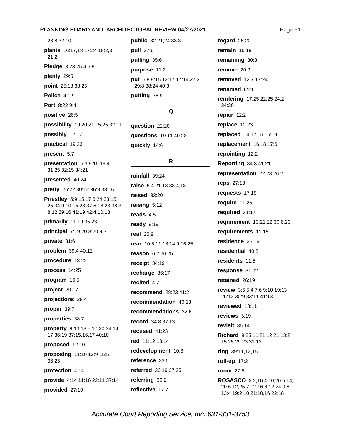28:8 32:10 plants 16:17,18 17:24 18:2,3  $21:2$ Pledge 3:23,25 4:5,8 plenty 29:5 point 25:18 38:25 Police 4:12 Port 8:22 9:4 positive 26:5 possibility 19:20 21:15,25 32:11 possibly 12:17 practical 19:23 present 5:7 presentation 5:3 9:16 19:4 31:25 32:15 34:21 presented 40:24 pretty 26:22 30:12 36:8 38:16 Priestley 5:9,15,17 6:24 33:15, 25 34:9,10,15,23 37:5,18,23 38:3, 8,12 39:16 41:19 42:4,10,18 primarily  $11:1935:23$ principal 7:19,20 8:20 9:3 private 31:6 problem 39:4 40:12 procedure 13:22 process 14:25 program 16:5 project 29:17 projections 28:4 proper 39:7 properties 38:7 property 9:13 13:5 17:20 34:14, 17 36:19 37:15,16,17 40:10 proposed 12:10 proposing 11:10 12:9 15:5 38:23 protection 4:14 provide 4:14 11:16 22:11 37:14 provided 27:10

public 32:21,24 33:3 pull 37:6 pulling 35:6 purpose 11:2 put 6:8 9:15 12:17 17:14 27:21 29:8 38:24 40:3 putting 36:9

#### Q

question 22:20 **auestions** 19:11 40:22 quickly 14:6

#### R.

rainfall 39:24 raise 5:4 21:18 33:4,18 raised 33:20 raising 5:12 reads  $4:5$ ready 9:19 real  $25:9$ rear 10:5 11:18 14:9 16:25 reason 6:2 26:25 receipt 34:19 recharge 36:17 recited  $4:7$ recommend 28:23 41:2 recommendation 40:13 recommendations 32:6 record 34:8 37:13 recused 41:23 red 11:12 13:14 redevelopment 10:3 reference 23:5 referred 26:19 27:25 referring 30:2 reflective 17:7

regard  $25:20$ remain  $15:18$ remaining 30:3 remove 20:9 removed 12:7 17:24 renamed 6:21 rendering 17:25 22:25 24:2 34:20 repair 12:2 replace 12:23 replaced 14:12,15 15:19 replacement 16:18 17:6 repointing 12:2 **Reporting 34:3 41:21** representation 22:23 26:2 reps 27:13 requests 17:15 require 11:25 required 31:17 requirement 10:21,22 30:6,20 requirements 11:15 residence 25:16 residential 40:8 residents 11:5 response 31:22 retained  $26:19$ review 3:5 5:4 7:6 9:10 19:13 26:12 30:9 33:11 41:13 reviewed 18:11 reviews 3:19 revisit  $35:14$ Richard 9:25 11:21 12:21 13:2 15:25 29:23 31:12 ring 39:11,12,15 roll-up 17:2 **room** 27:5 ROSASCO 3:2,16 4:10,20 5:14, 20 6:12,25 7:12,16 8:12,24 9:6 13:4 19:2,10 21:10,16 22:18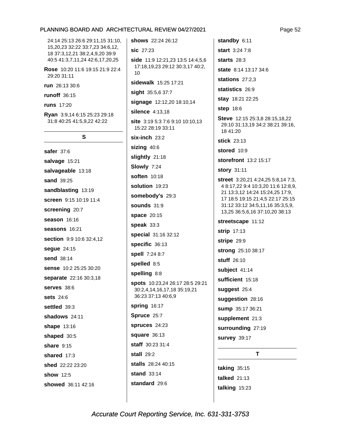24:14 25:13 26:6 29:11,15 31:10, 15.20.23 32:22 33:7.23 34:6.12. 18 37:3,12,21 38:2,4,9,20 39:9 40:5 41:3,7,11,24 42:6,17,20,25 Rose 10:20 11:6 19:15 21:9 22:4

29:20 31:11 run 26:13 30:6 runoff 36:15 **runs** 17:20 Rvan 3:9.14 6:15 25:23 29:18 31:8 40:25 41:5,9,22 42:22

#### S

safer 37:6 salvage 15:21 salvageable 13:18 sand 39:25 sandblasting 13:19 screen 9:15 10:19 11:4 screening 20:7 season 16:16 seasons 16:21 section 9:9 10:6 32:4,12 segue 24:15 send 38:14 sense 10:2 25:25 30:20 separate 22:16 30:3,18 serves 38:6 sets  $24:6$ settled 39:3 shadows 24:11 shape 13:16 shaped 30:5 share  $9:15$ shared 17:3 shed 22:22 23:20 show 12:5 showed 36:11 42:16

shows 22:24 26:12 sic 27:23 side 11:9 12:21,23 13:5 14:4,5,6 17:18,19,23 29:12 30:3,17 40:2,  $10$ sidewalk 15:25 17:21 sight 35:5,6 37:7 signage 12:12,20 18:10,14 silence 4:13.18 site 3:19 5:3 7:6 9:10 10:10.13 15:22 28:19 33:11  $six$ -inch  $23:2$ sizing 40:6 slightly 21:18 Slowly 7:24 **soften** 10:18 solution 19:23 somebody's 29:3 **sounds** 31:9 space 20:15 speak  $33:3$ special 31:16 32:12 specific 36:13 spell 7:24 8:7 spelled 8:5 spelling 8:8 spots 10:23,24 26:17 28:5 29:21 30:2,4,14,16,17,18 35:19,21 36:23 37:13 40:6,9 spring 16:17 Spruce 25:7 spruces 24:23 square  $36:13$ staff 30:23 31:4 stall  $29:2$ stalls 28:24 40:15

start  $3:24.7:8$ starts  $28:3$ state 8:14 13:17 34:6 stations  $27:2,3$ statistics 26:9 stav 18:21 22:25 step 18:6 Steve 12:15 25:3,8 28:15,18,22 29:10 31:13,19 34:2 38:21 39:16, 18 41:20 stick 23:13 stored 10:9 storefront 13:2 15:17 **story** 31:11 street 3:20,21 4:24,25 5:8,14 7:3, 4 8:17,22 9:4 10:3,20 11:6 12:8,9, 21 13:3,12 14:24 15:24,25 17:9, 17 18:5 19:15 21:4,5 22:17 25:15 31:12 33:12 34:5,11,16 35:3,5,9, 13,25 36:5,6,16 37:10,20 38:13 streetscape 11:12 strip 17:13 stripe 29:9 strong 25:10 38:17 stuff 26:10 subject 41:14 sufficient 15:18 suggest 25:4 suggestion 28:16 sump 35:17 36:21 supplement 21:3 surrounding 27:19 survey 39:17 T

standby 6:11

taking 35:15 talked 21:13 talking  $15:23$  Page 52

Accurate Court Reporting Service, Inc. 631-331-3753

stand  $33:14$ 

standard 29:6